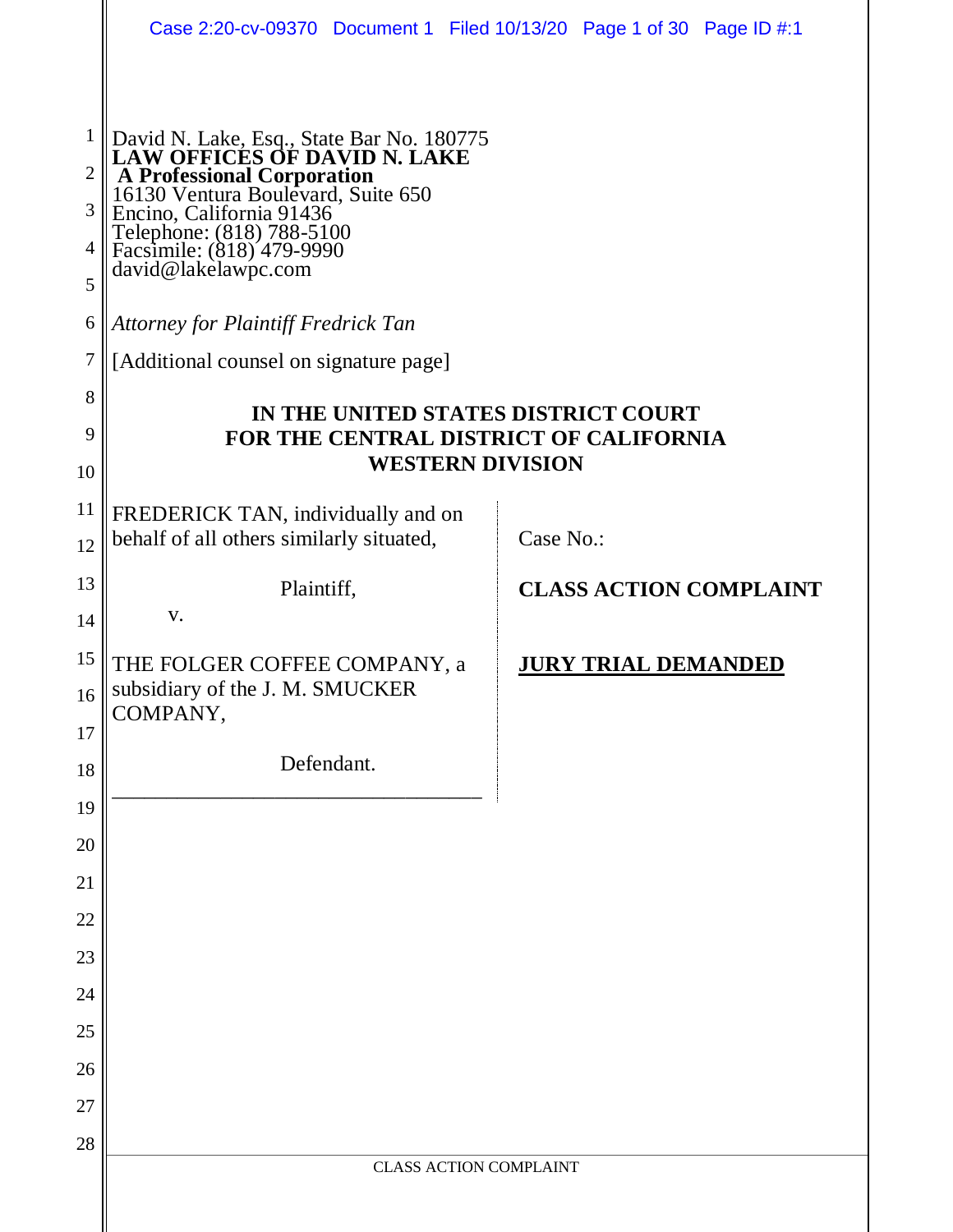|                | Case 2:20-cv-09370 Document 1 Filed 10/13/20 Page 1 of 30 Page ID #:1                                                                                                         |                               |                            |                               |  |  |
|----------------|-------------------------------------------------------------------------------------------------------------------------------------------------------------------------------|-------------------------------|----------------------------|-------------------------------|--|--|
|                |                                                                                                                                                                               |                               |                            |                               |  |  |
| 1              | David N. Lake, Esq., State Bar No. 180775<br>LAW OFFICES OF DAVID N. LAKE                                                                                                     |                               |                            |                               |  |  |
| 2<br>3         | A Professional Corporation<br>16130 Ventura Boulevard, Suite 650<br>Encino, California 91436<br>Telephone: (818) 788-5100<br>Facsimile: (818) 479-9990<br>david@lakelawpc.com |                               |                            |                               |  |  |
| 4              |                                                                                                                                                                               |                               |                            |                               |  |  |
| 5              |                                                                                                                                                                               |                               |                            |                               |  |  |
| 6              | <b>Attorney for Plaintiff Fredrick Tan</b>                                                                                                                                    |                               |                            |                               |  |  |
| $\overline{7}$ | [Additional counsel on signature page]                                                                                                                                        |                               |                            |                               |  |  |
| 8              | IN THE UNITED STATES DISTRICT COURT                                                                                                                                           |                               |                            |                               |  |  |
| 9              | FOR THE CENTRAL DISTRICT OF CALIFORNIA<br><b>WESTERN DIVISION</b>                                                                                                             |                               |                            |                               |  |  |
| 10             |                                                                                                                                                                               |                               |                            |                               |  |  |
| 11<br>12       | FREDERICK TAN, individually and on<br>behalf of all others similarly situated,                                                                                                | Case No.:                     |                            |                               |  |  |
| 13             | Plaintiff,                                                                                                                                                                    |                               |                            | <b>CLASS ACTION COMPLAINT</b> |  |  |
| 14             | V.                                                                                                                                                                            |                               |                            |                               |  |  |
| 15             | THE FOLGER COFFEE COMPANY, a                                                                                                                                                  |                               | <b>JURY TRIAL DEMANDED</b> |                               |  |  |
| 16             | subsidiary of the J. M. SMUCKER<br>COMPANY,                                                                                                                                   |                               |                            |                               |  |  |
| 17             |                                                                                                                                                                               |                               |                            |                               |  |  |
| 18             | Defendant.                                                                                                                                                                    |                               |                            |                               |  |  |
| 19             |                                                                                                                                                                               |                               |                            |                               |  |  |
| 20<br>21       |                                                                                                                                                                               |                               |                            |                               |  |  |
| 22             |                                                                                                                                                                               |                               |                            |                               |  |  |
| 23             |                                                                                                                                                                               |                               |                            |                               |  |  |
| 24             |                                                                                                                                                                               |                               |                            |                               |  |  |
| 25             |                                                                                                                                                                               |                               |                            |                               |  |  |
| 26             |                                                                                                                                                                               |                               |                            |                               |  |  |
| 27             |                                                                                                                                                                               |                               |                            |                               |  |  |
| 28             |                                                                                                                                                                               | <b>CLASS ACTION COMPLAINT</b> |                            |                               |  |  |
|                |                                                                                                                                                                               |                               |                            |                               |  |  |
|                |                                                                                                                                                                               |                               |                            |                               |  |  |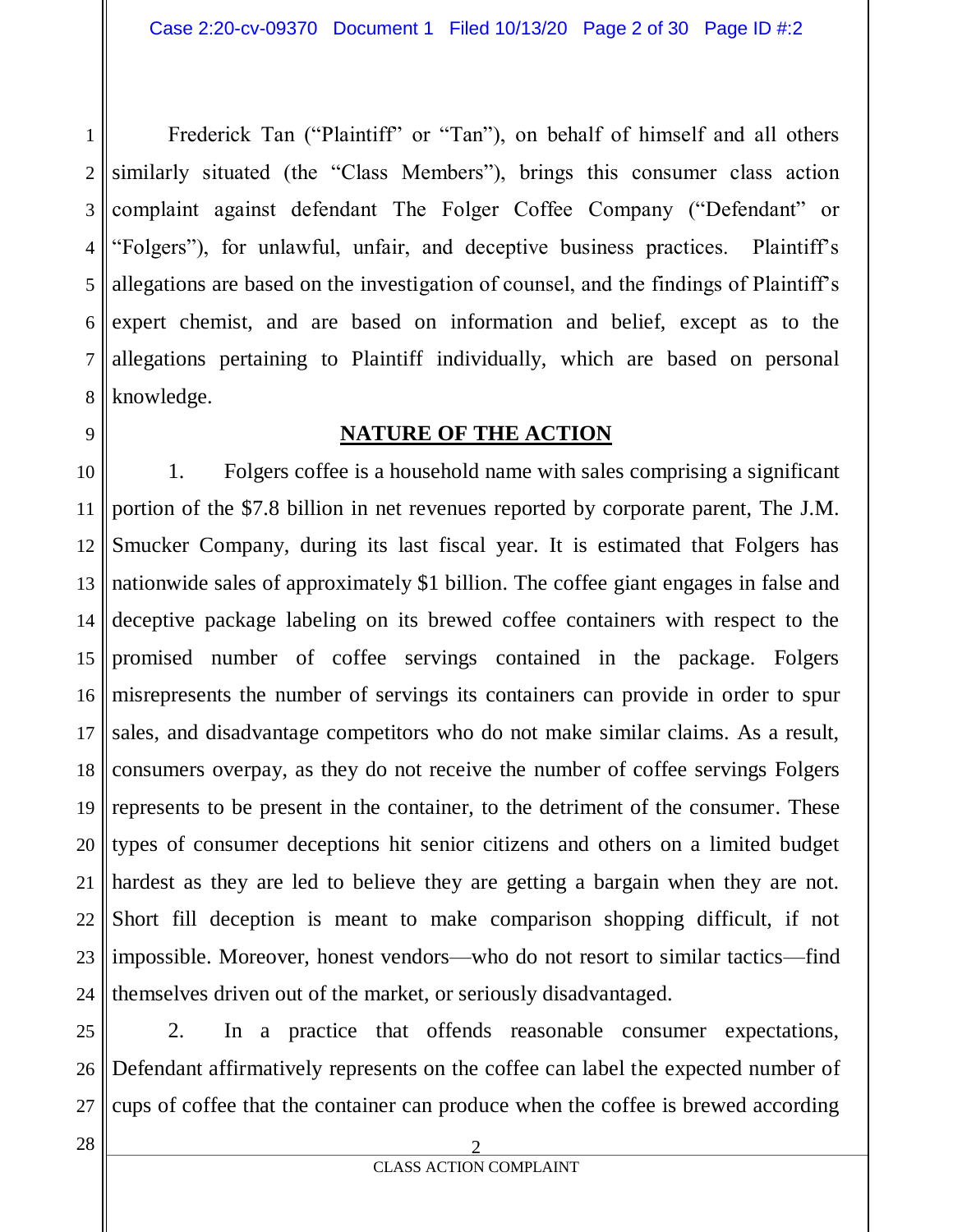1 2 3 4 5 6 7 8 Frederick Tan ("Plaintiff" or "Tan"), on behalf of himself and all others similarly situated (the "Class Members"), brings this consumer class action complaint against defendant The Folger Coffee Company ("Defendant" or "Folgers"), for unlawful, unfair, and deceptive business practices. Plaintiff's allegations are based on the investigation of counsel, and the findings of Plaintiff's expert chemist, and are based on information and belief, except as to the allegations pertaining to Plaintiff individually, which are based on personal knowledge.

#### **NATURE OF THE ACTION**

10 11 12 13 14 15 16 17 18 19 20 21 22 23 24 1. Folgers coffee is a household name with sales comprising a significant portion of the \$7.8 billion in net revenues reported by corporate parent, The J.M. Smucker Company, during its last fiscal year. It is estimated that Folgers has nationwide sales of approximately \$1 billion. The coffee giant engages in false and deceptive package labeling on its brewed coffee containers with respect to the promised number of coffee servings contained in the package. Folgers misrepresents the number of servings its containers can provide in order to spur sales, and disadvantage competitors who do not make similar claims. As a result, consumers overpay, as they do not receive the number of coffee servings Folgers represents to be present in the container, to the detriment of the consumer. These types of consumer deceptions hit senior citizens and others on a limited budget hardest as they are led to believe they are getting a bargain when they are not. Short fill deception is meant to make comparison shopping difficult, if not impossible. Moreover, honest vendors—who do not resort to similar tactics—find themselves driven out of the market, or seriously disadvantaged.

25 26 27 2. In a practice that offends reasonable consumer expectations, Defendant affirmatively represents on the coffee can label the expected number of cups of coffee that the container can produce when the coffee is brewed according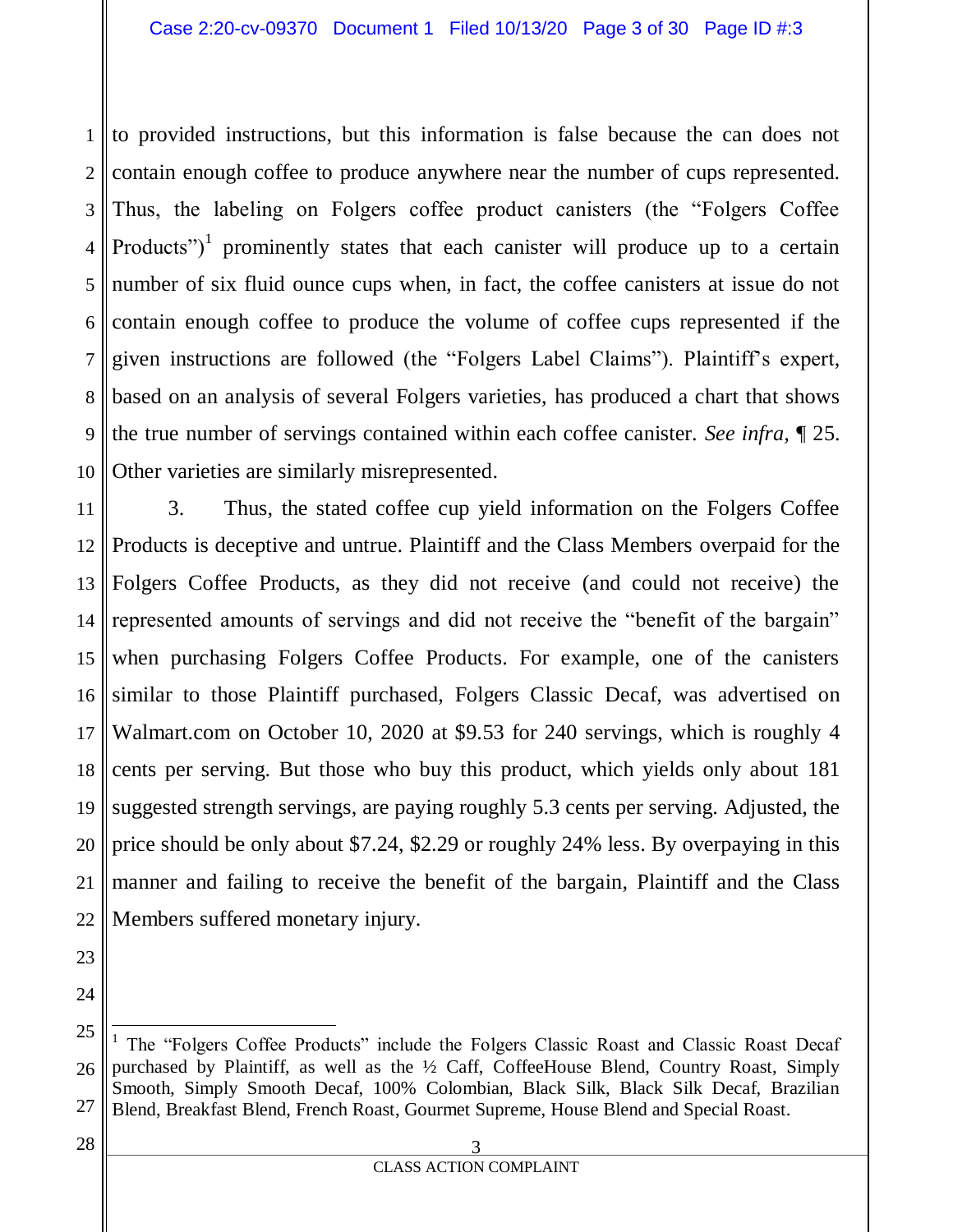1 2 3 4 5 6 7 8 9 10 to provided instructions, but this information is false because the can does not contain enough coffee to produce anywhere near the number of cups represented. Thus, the labeling on Folgers coffee product canisters (the "Folgers Coffee Products")<sup>1</sup> prominently states that each canister will produce up to a certain number of six fluid ounce cups when, in fact, the coffee canisters at issue do not contain enough coffee to produce the volume of coffee cups represented if the given instructions are followed (the "Folgers Label Claims"). Plaintiff's expert, based on an analysis of several Folgers varieties, has produced a chart that shows the true number of servings contained within each coffee canister. *See infra,* ¶ 25. Other varieties are similarly misrepresented.

11 12 13 14 15 16 17 18 19 20 21 22 3. Thus, the stated coffee cup yield information on the Folgers Coffee Products is deceptive and untrue. Plaintiff and the Class Members overpaid for the Folgers Coffee Products, as they did not receive (and could not receive) the represented amounts of servings and did not receive the "benefit of the bargain" when purchasing Folgers Coffee Products. For example, one of the canisters similar to those Plaintiff purchased, Folgers Classic Decaf, was advertised on Walmart.com on October 10, 2020 at \$9.53 for 240 servings, which is roughly 4 cents per serving. But those who buy this product, which yields only about 181 suggested strength servings, are paying roughly 5.3 cents per serving. Adjusted, the price should be only about \$7.24, \$2.29 or roughly 24% less. By overpaying in this manner and failing to receive the benefit of the bargain, Plaintiff and the Class Members suffered monetary injury.

23 24

25

<sup>26</sup> 27  $\overline{a}$ <sup>1</sup> The "Folgers Coffee Products" include the Folgers Classic Roast and Classic Roast Decaf purchased by Plaintiff, as well as the ½ Caff, CoffeeHouse Blend, Country Roast, Simply Smooth, Simply Smooth Decaf, 100% Colombian, Black Silk, Black Silk Decaf, Brazilian Blend, Breakfast Blend, French Roast, Gourmet Supreme, House Blend and Special Roast.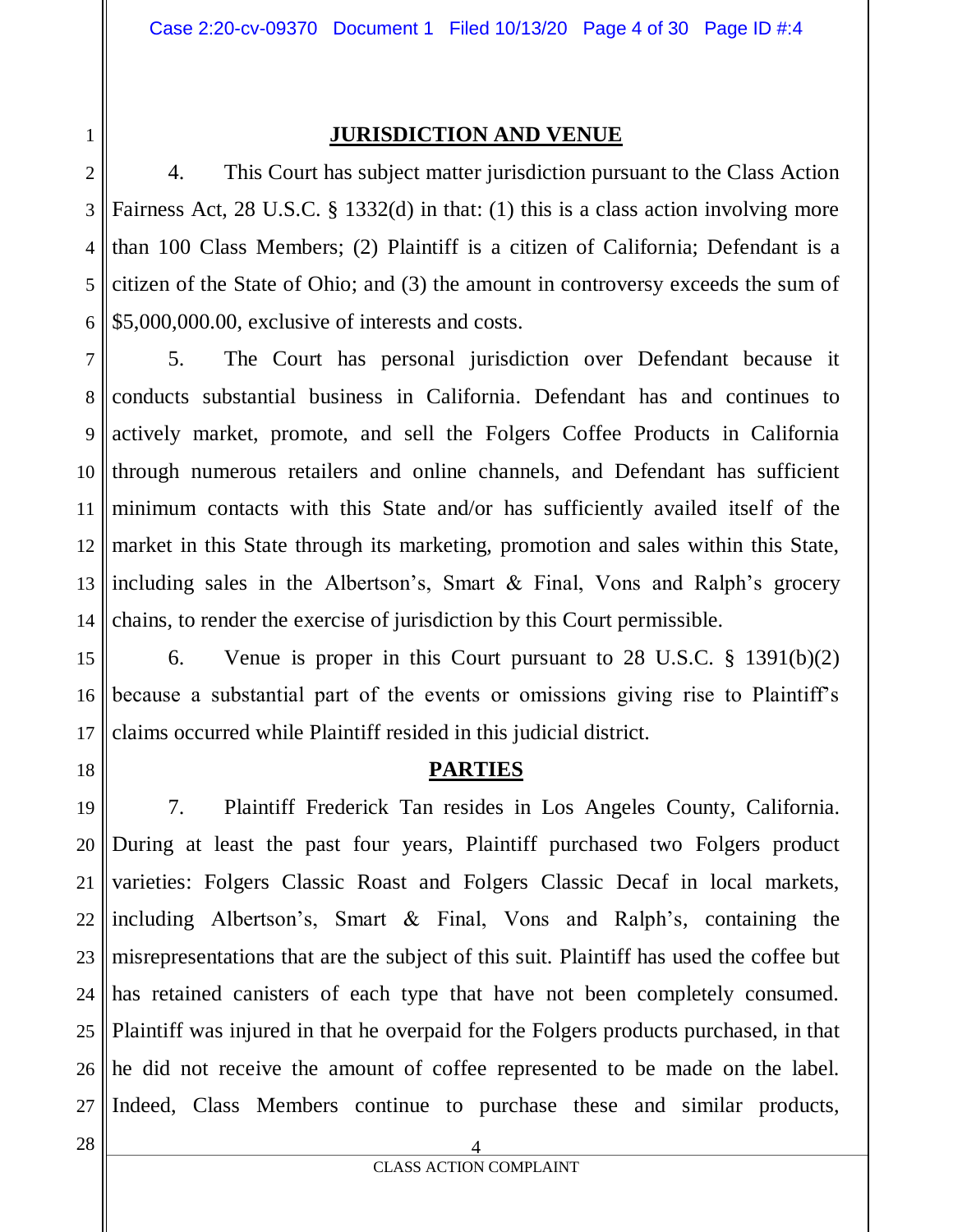1

#### **JURISDICTION AND VENUE**

2 3 4 5 6 4. This Court has subject matter jurisdiction pursuant to the Class Action Fairness Act, 28 U.S.C. § 1332(d) in that: (1) this is a class action involving more than 100 Class Members; (2) Plaintiff is a citizen of California; Defendant is a citizen of the State of Ohio; and (3) the amount in controversy exceeds the sum of \$5,000,000.00, exclusive of interests and costs.

7 8 9 10 11 12 13 14 5. The Court has personal jurisdiction over Defendant because it conducts substantial business in California. Defendant has and continues to actively market, promote, and sell the Folgers Coffee Products in California through numerous retailers and online channels, and Defendant has sufficient minimum contacts with this State and/or has sufficiently availed itself of the market in this State through its marketing, promotion and sales within this State, including sales in the Albertson's, Smart & Final, Vons and Ralph's grocery chains, to render the exercise of jurisdiction by this Court permissible.

15 16 17 6. Venue is proper in this Court pursuant to 28 U.S.C. § 1391(b)(2) because a substantial part of the events or omissions giving rise to Plaintiff's claims occurred while Plaintiff resided in this judicial district.

18

#### **PARTIES**

19 20 21 22 23 24 25 26 27 7. Plaintiff Frederick Tan resides in Los Angeles County, California. During at least the past four years, Plaintiff purchased two Folgers product varieties: Folgers Classic Roast and Folgers Classic Decaf in local markets, including Albertson's, Smart & Final, Vons and Ralph's, containing the misrepresentations that are the subject of this suit. Plaintiff has used the coffee but has retained canisters of each type that have not been completely consumed. Plaintiff was injured in that he overpaid for the Folgers products purchased, in that he did not receive the amount of coffee represented to be made on the label. Indeed, Class Members continue to purchase these and similar products,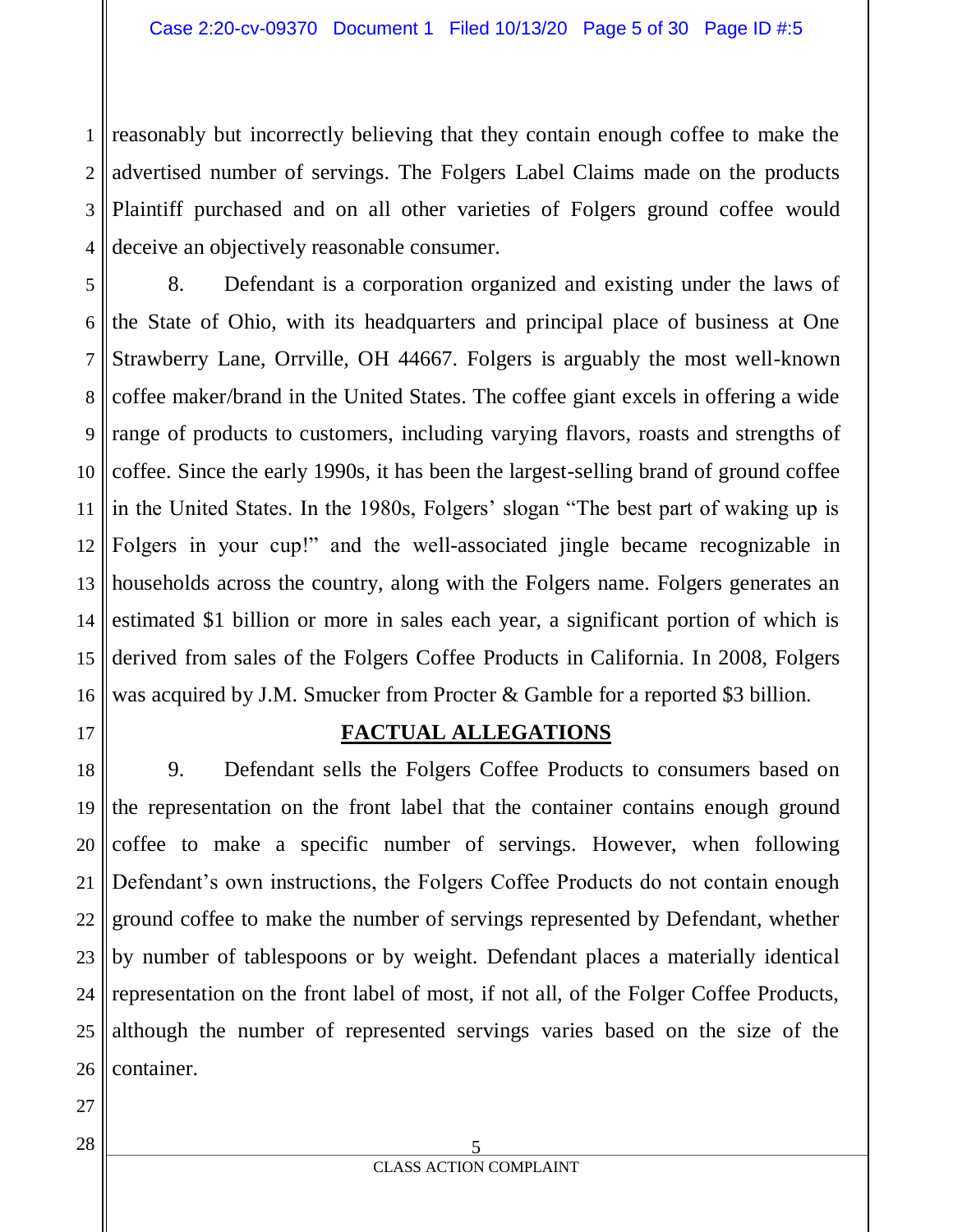1 2 3 4 reasonably but incorrectly believing that they contain enough coffee to make the advertised number of servings. The Folgers Label Claims made on the products Plaintiff purchased and on all other varieties of Folgers ground coffee would deceive an objectively reasonable consumer.

5 6 7 8 9 10 11 12 13 14 15 16 8. Defendant is a corporation organized and existing under the laws of the State of Ohio, with its headquarters and principal place of business at One Strawberry Lane, Orrville, OH 44667. Folgers is arguably the most well-known coffee maker/brand in the United States. The coffee giant excels in offering a wide range of products to customers, including varying flavors, roasts and strengths of coffee. Since the early 1990s, it has been the largest-selling brand of ground coffee in the United States. In the 1980s, Folgers' slogan "The best part of waking up is Folgers in your cup!" and the well-associated jingle became recognizable in households across the country, along with the Folgers name. Folgers generates an estimated \$1 billion or more in sales each year, a significant portion of which is derived from sales of the Folgers Coffee Products in California. In 2008, Folgers was acquired by J.M. Smucker from Procter & Gamble for a reported \$3 billion.

#### **FACTUAL ALLEGATIONS**

18 19 20 21 22 23 24 25 26 9. Defendant sells the Folgers Coffee Products to consumers based on the representation on the front label that the container contains enough ground coffee to make a specific number of servings. However, when following Defendant's own instructions, the Folgers Coffee Products do not contain enough ground coffee to make the number of servings represented by Defendant, whether by number of tablespoons or by weight. Defendant places a materially identical representation on the front label of most, if not all, of the Folger Coffee Products, although the number of represented servings varies based on the size of the container.

27

17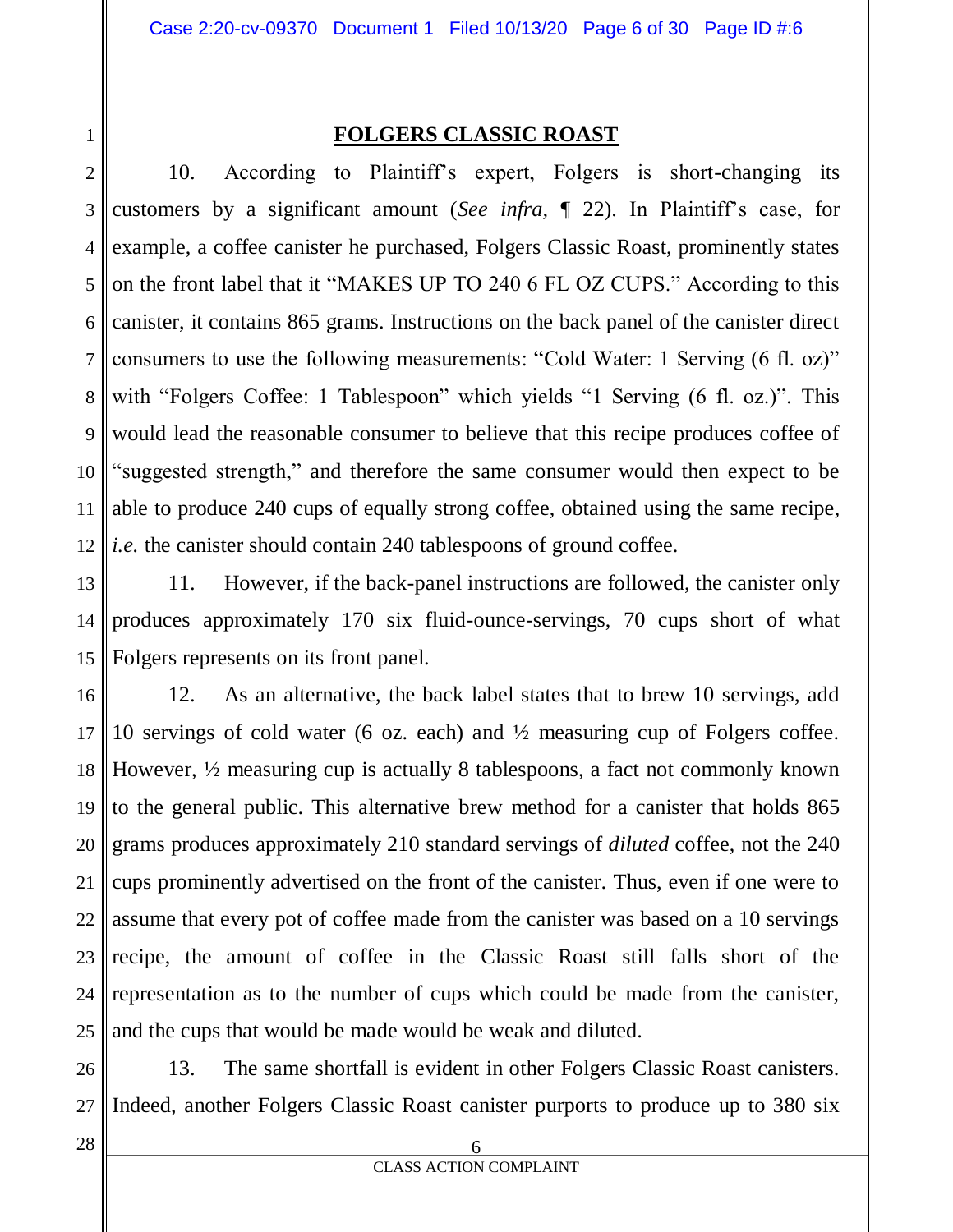1

#### **FOLGERS CLASSIC ROAST**

2 3 4 5 6 7 8 9 10 11 12 10. According to Plaintiff's expert, Folgers is short-changing its customers by a significant amount (*See infra,* ¶ 22). In Plaintiff's case, for example, a coffee canister he purchased, Folgers Classic Roast, prominently states on the front label that it "MAKES UP TO 240 6 FL OZ CUPS." According to this canister, it contains 865 grams. Instructions on the back panel of the canister direct consumers to use the following measurements: "Cold Water: 1 Serving (6 fl. oz)" with "Folgers Coffee: 1 Tablespoon" which yields "1 Serving (6 fl. oz.)". This would lead the reasonable consumer to believe that this recipe produces coffee of "suggested strength," and therefore the same consumer would then expect to be able to produce 240 cups of equally strong coffee, obtained using the same recipe, *i.e.* the canister should contain 240 tablespoons of ground coffee.

13 14 15 11. However, if the back-panel instructions are followed, the canister only produces approximately 170 six fluid-ounce-servings, 70 cups short of what Folgers represents on its front panel.

16 17 18 19 20 21 22 23 24 25 12. As an alternative, the back label states that to brew 10 servings, add 10 servings of cold water (6 oz. each) and ½ measuring cup of Folgers coffee. However, ½ measuring cup is actually 8 tablespoons, a fact not commonly known to the general public. This alternative brew method for a canister that holds 865 grams produces approximately 210 standard servings of *diluted* coffee, not the 240 cups prominently advertised on the front of the canister. Thus, even if one were to assume that every pot of coffee made from the canister was based on a 10 servings recipe, the amount of coffee in the Classic Roast still falls short of the representation as to the number of cups which could be made from the canister, and the cups that would be made would be weak and diluted.

26 27 13. The same shortfall is evident in other Folgers Classic Roast canisters. Indeed, another Folgers Classic Roast canister purports to produce up to 380 six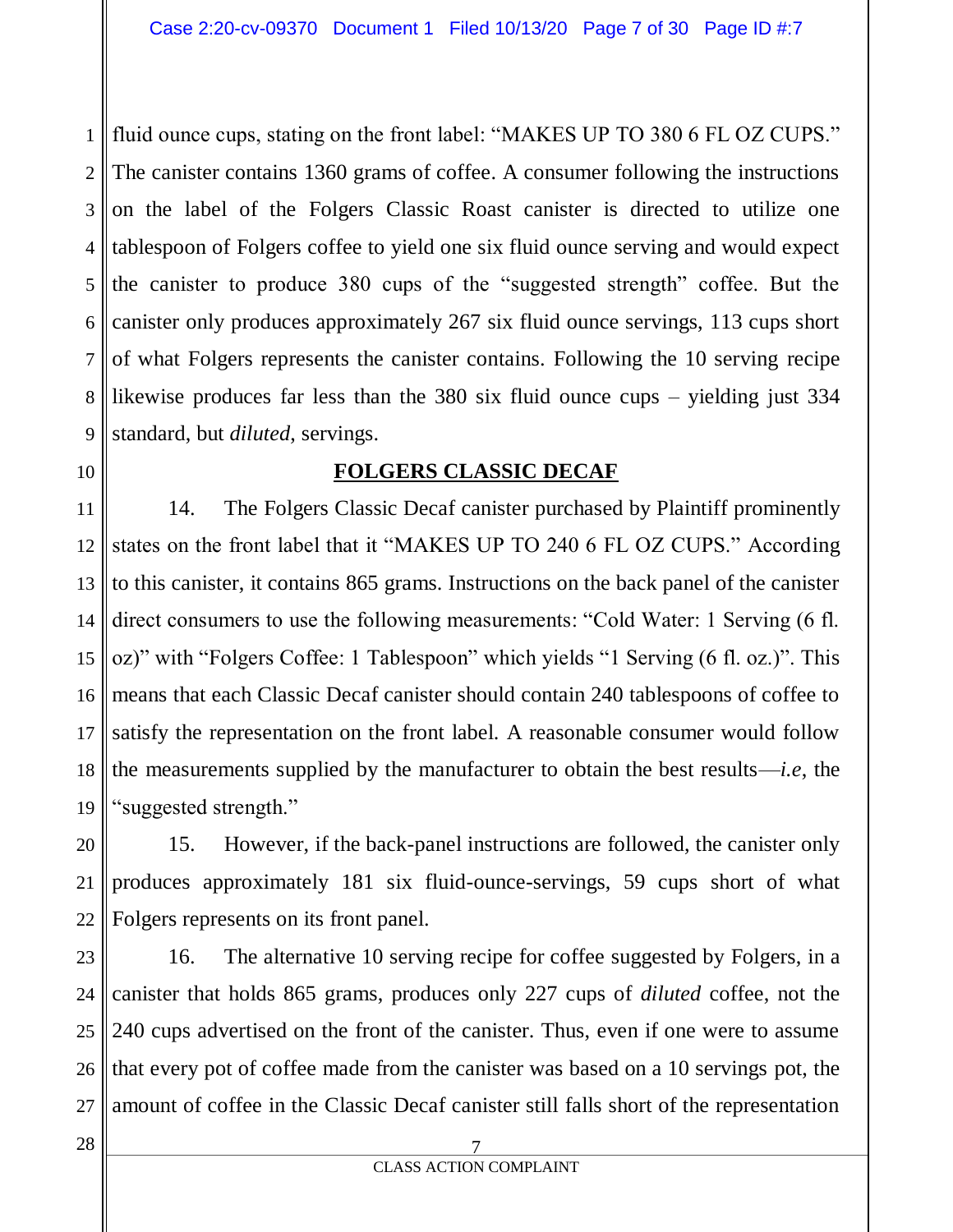1 2 3 4 5 6 7 8 9 fluid ounce cups, stating on the front label: "MAKES UP TO 380 6 FL OZ CUPS." The canister contains 1360 grams of coffee. A consumer following the instructions on the label of the Folgers Classic Roast canister is directed to utilize one tablespoon of Folgers coffee to yield one six fluid ounce serving and would expect the canister to produce 380 cups of the "suggested strength" coffee. But the canister only produces approximately 267 six fluid ounce servings, 113 cups short of what Folgers represents the canister contains. Following the 10 serving recipe likewise produces far less than the 380 six fluid ounce cups – yielding just 334 standard, but *diluted*, servings.

10

#### **FOLGERS CLASSIC DECAF**

11 12 13 14 15 16 17 18 19 14. The Folgers Classic Decaf canister purchased by Plaintiff prominently states on the front label that it "MAKES UP TO 240 6 FL OZ CUPS." According to this canister, it contains 865 grams. Instructions on the back panel of the canister direct consumers to use the following measurements: "Cold Water: 1 Serving (6 fl. oz)" with "Folgers Coffee: 1 Tablespoon" which yields "1 Serving (6 fl. oz.)". This means that each Classic Decaf canister should contain 240 tablespoons of coffee to satisfy the representation on the front label. A reasonable consumer would follow the measurements supplied by the manufacturer to obtain the best results—*i.e*, the "suggested strength."

20 21 22 15. However, if the back-panel instructions are followed, the canister only produces approximately 181 six fluid-ounce-servings, 59 cups short of what Folgers represents on its front panel.

23 24 25 26 27 16. The alternative 10 serving recipe for coffee suggested by Folgers, in a canister that holds 865 grams, produces only 227 cups of *diluted* coffee, not the 240 cups advertised on the front of the canister. Thus, even if one were to assume that every pot of coffee made from the canister was based on a 10 servings pot, the amount of coffee in the Classic Decaf canister still falls short of the representation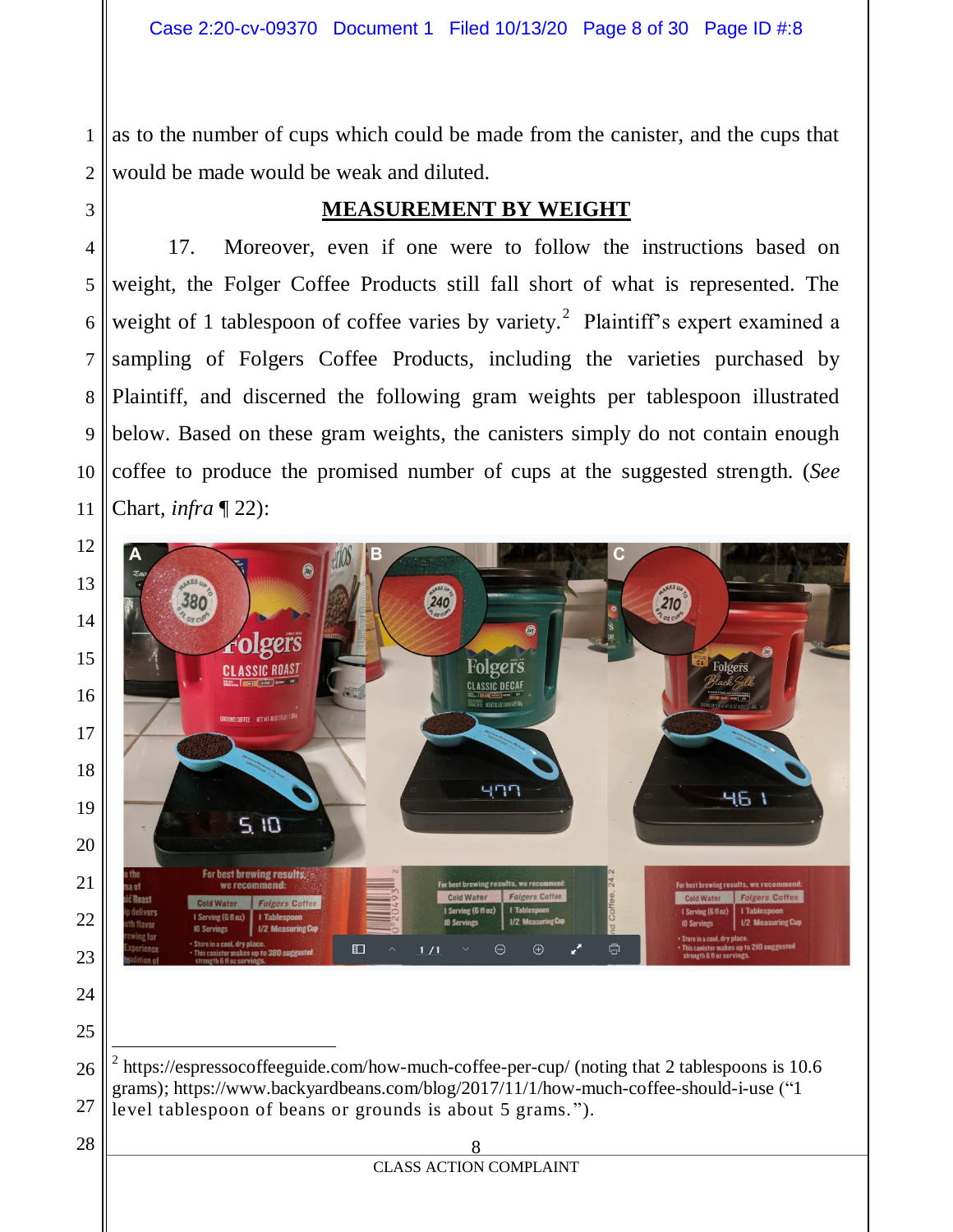as to the number of cups which could be made from the canister, and the cups that would be made would be weak and diluted.

**MEASUREMENT BY WEIGHT**

# 

17. Moreover, even if one were to follow the instructions based on weight, the Folger Coffee Products still fall short of what is represented. The weight of 1 tablespoon of coffee varies by variety.<sup>2</sup> Plaintiff's expert examined a sampling of Folgers Coffee Products, including the varieties purchased by Plaintiff, and discerned the following gram weights per tablespoon illustrated below. Based on these gram weights, the canisters simply do not contain enough coffee to produce the promised number of cups at the suggested strength. (*See* Chart, *infra* ¶ 22):



<sup>2</sup> https://espressocoffeeguide.com/how-much-coffee-per-cup/ (noting that 2 tablespoons is 10.6 grams); https://www.backyardbeans.com/blog/2017/11/1/how-much-coffee-should-i-use ("1 level tablespoon of beans or grounds is about 5 grams. ").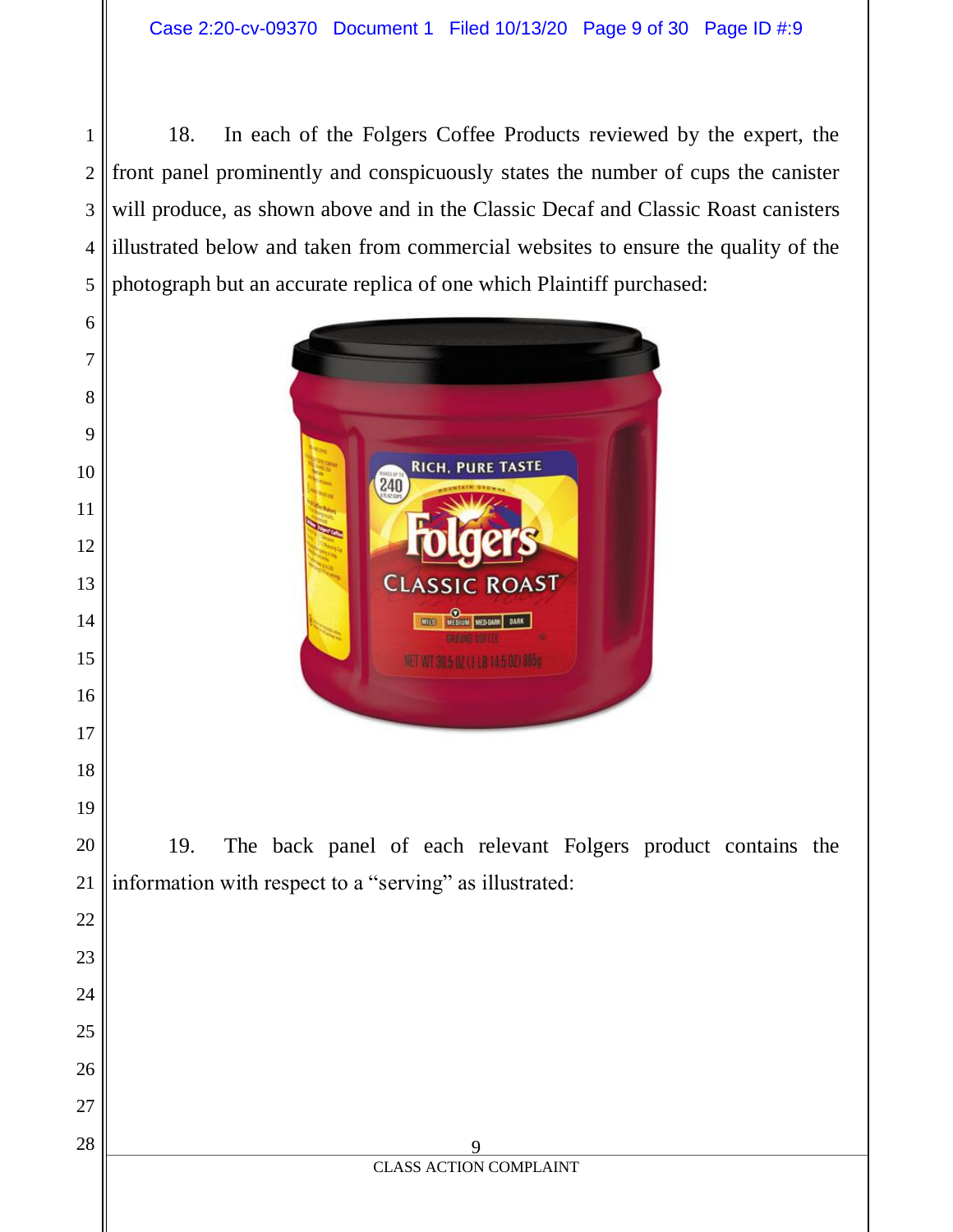18. In each of the Folgers Coffee Products reviewed by the expert, the front panel prominently and conspicuously states the number of cups the canister will produce, as shown above and in the Classic Decaf and Classic Roast canisters illustrated below and taken from commercial websites to ensure the quality of the photograph but an accurate replica of one which Plaintiff purchased:



19. The back panel of each relevant Folgers product contains the information with respect to a "serving" as illustrated: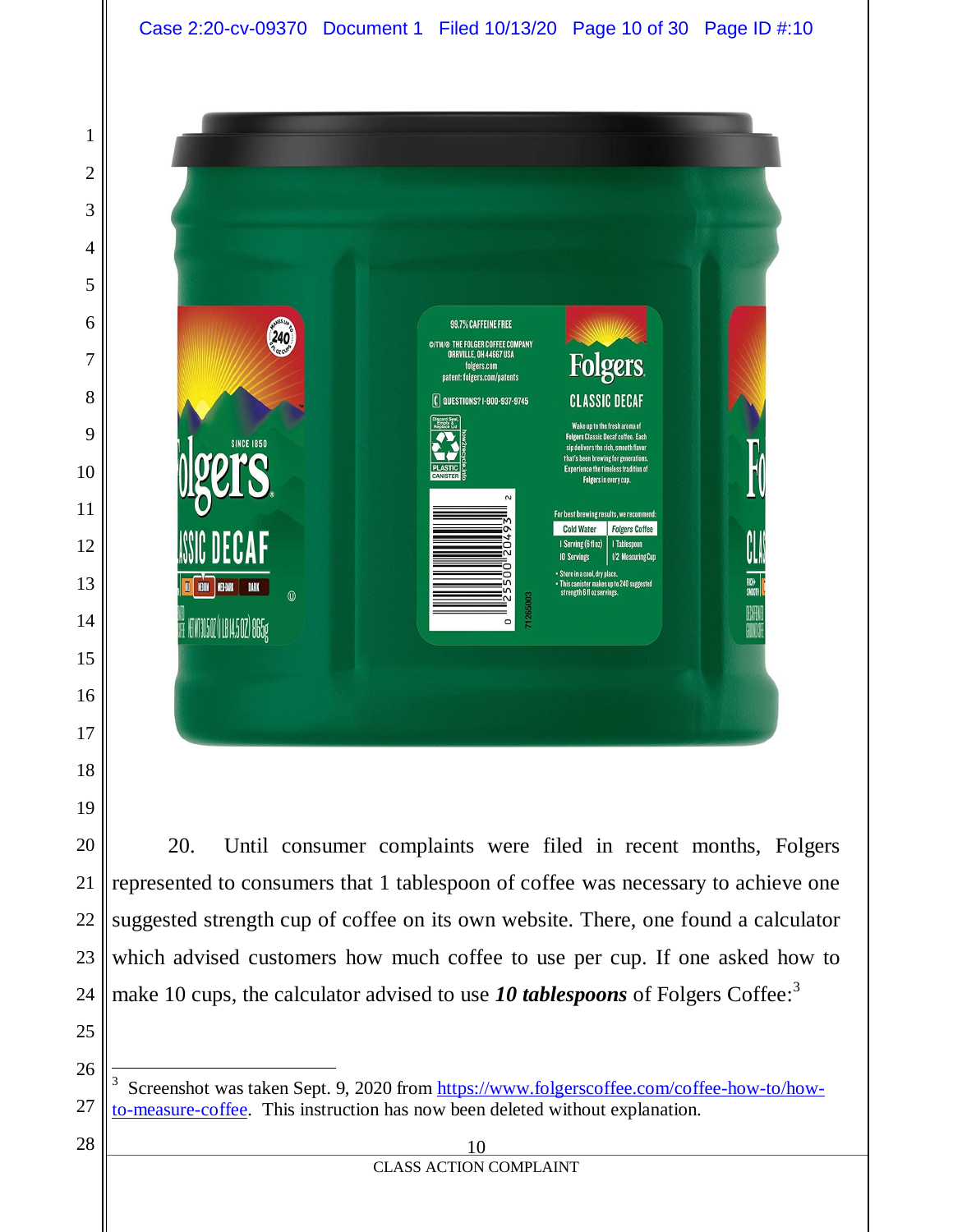

20. Until consumer complaints were filed in recent months, Folgers represented to consumers that 1 tablespoon of coffee was necessary to achieve one suggested strength cup of coffee on its own website. There, one found a calculator which advised customers how much coffee to use per cup. If one asked how to make 10 cups, the calculator advised to use 10 tablespoons of Folgers Coffee:<sup>3</sup>

 

 $\overline{a}$ 

 Screenshot was taken Sept. 9, 2020 from [https://www.folgerscoffee.com/coffee-how-to/how](https://www.folgerscoffee.com/coffee-how-to/how-to-measure-coffee)[to-measure-coffee.](https://www.folgerscoffee.com/coffee-how-to/how-to-measure-coffee) This instruction has now been deleted without explanation.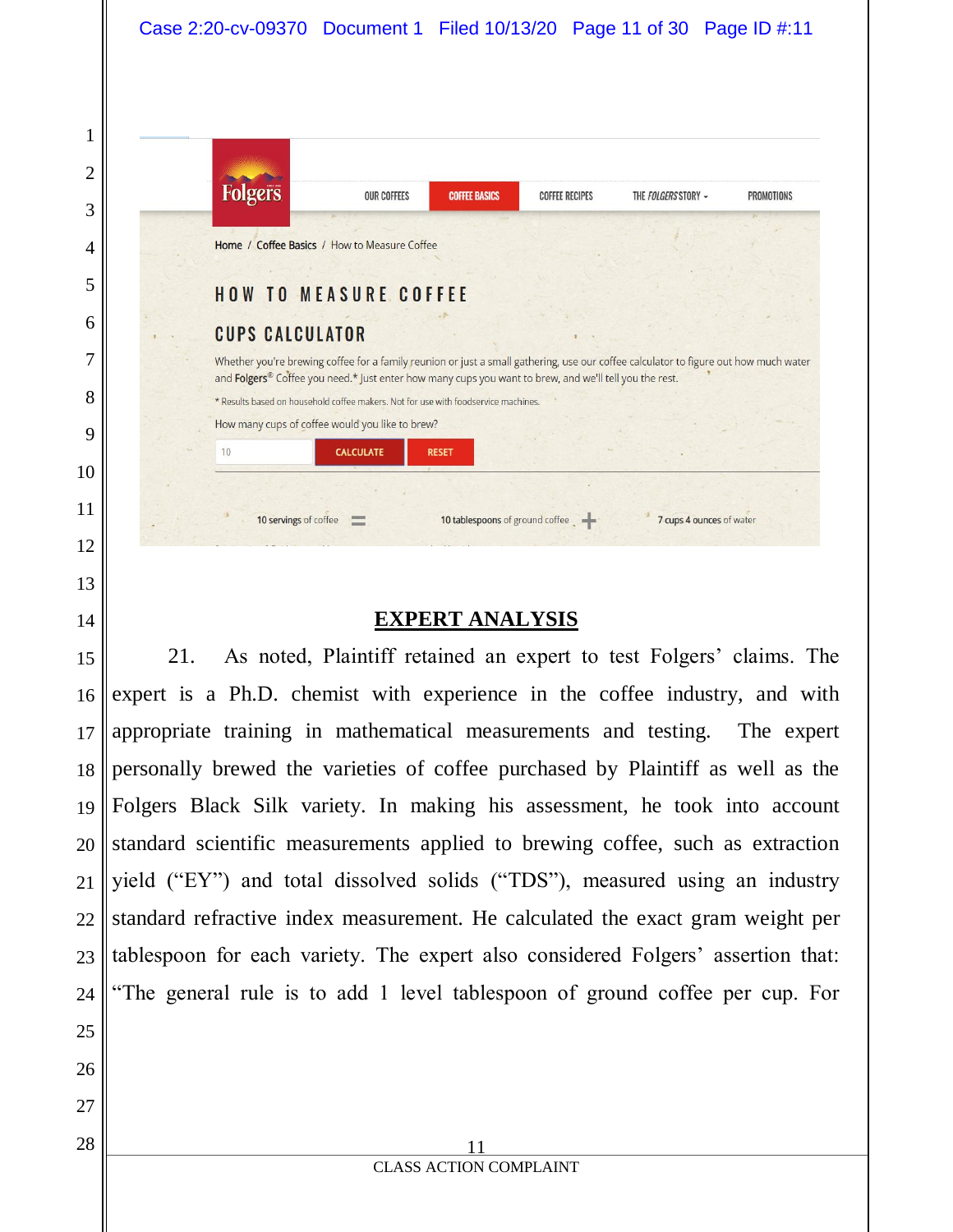|                        |                                                                                                                                                                                                                                                | <b>COFFEE BASICS</b> | <b>COFFEE RECIPES</b> | THE FOLGERS STORY - | <b>PROMOTIONS</b> |
|------------------------|------------------------------------------------------------------------------------------------------------------------------------------------------------------------------------------------------------------------------------------------|----------------------|-----------------------|---------------------|-------------------|
|                        | Home / Coffee Basics / How to Measure Coffee                                                                                                                                                                                                   |                      |                       |                     |                   |
|                        | <b>HOW TO MEASURE COFFEE</b>                                                                                                                                                                                                                   |                      |                       |                     |                   |
| <b>CUPS CALCULATOR</b> |                                                                                                                                                                                                                                                |                      |                       |                     |                   |
|                        | Whether you're brewing coffee for a family reunion or just a small gathering, use our coffee calculator to figure out how much water<br>and Folgers® Coffee you need.* Just enter how many cups you want to brew, and we'll tell you the rest. |                      |                       |                     |                   |
|                        | * Results based on household coffee makers. Not for use with foodservice machines.                                                                                                                                                             |                      |                       |                     |                   |
|                        | How many cups of coffee would you like to brew?                                                                                                                                                                                                |                      |                       |                     |                   |
| 10                     | <b>CALCULATE</b>                                                                                                                                                                                                                               | <b>RESET</b>         |                       |                     |                   |
|                        |                                                                                                                                                                                                                                                |                      |                       |                     |                   |

# **EXPERT ANALYSIS**

21. As noted, Plaintiff retained an expert to test Folgers' claims. The expert is a Ph.D. chemist with experience in the coffee industry, and with appropriate training in mathematical measurements and testing. The expert personally brewed the varieties of coffee purchased by Plaintiff as well as the Folgers Black Silk variety. In making his assessment, he took into account standard scientific measurements applied to brewing coffee, such as extraction yield ("EY") and total dissolved solids ("TDS"), measured using an industry standard refractive index measurement. He calculated the exact gram weight per tablespoon for each variety. The expert also considered Folgers' assertion that: "The general rule is to add 1 level tablespoon of ground coffee per cup. For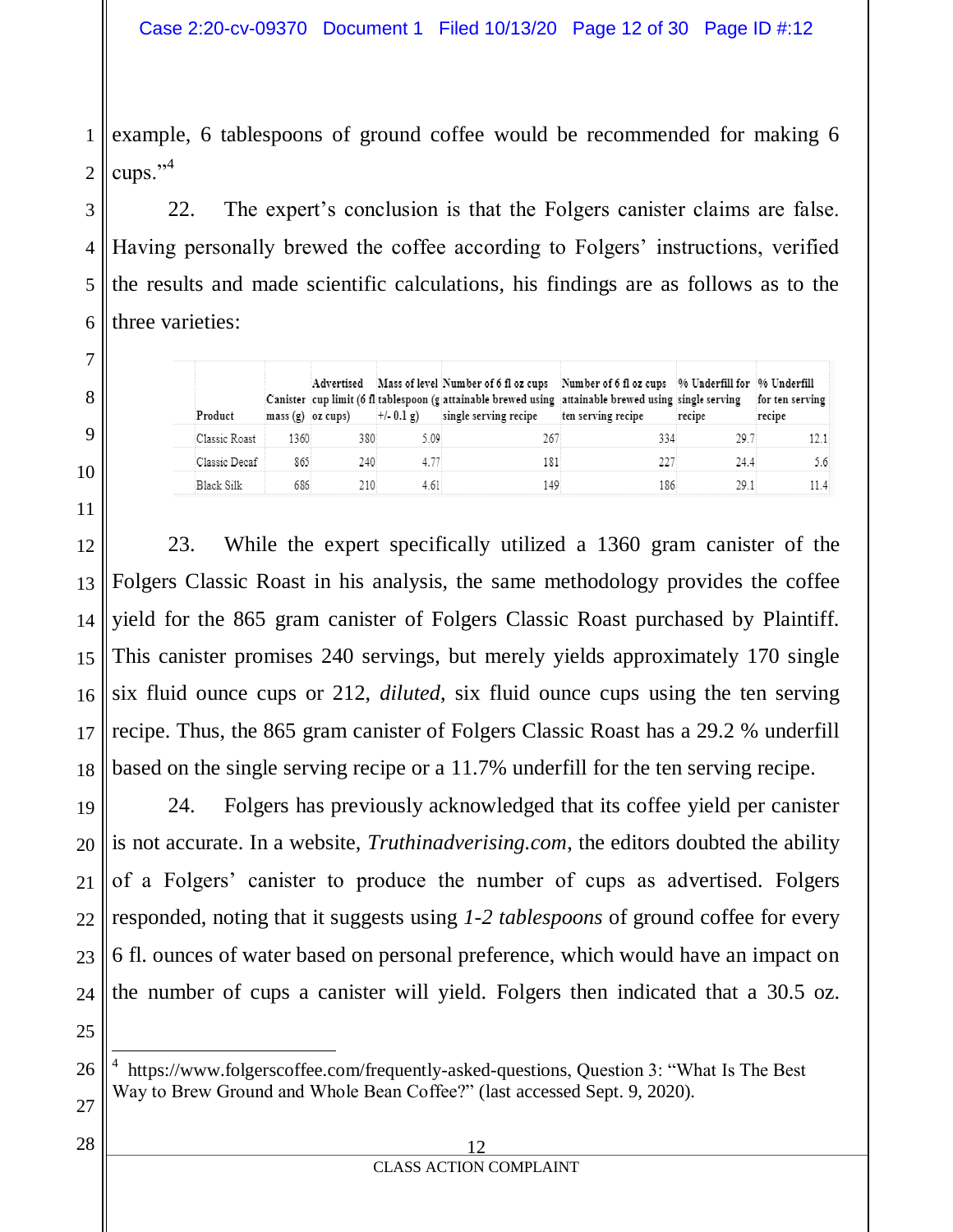1 2 example, 6 tablespoons of ground coffee would be recommended for making 6 cups."<sup>4</sup>

3 4 5 6 22. The expert's conclusion is that the Folgers canister claims are false. Having personally brewed the coffee according to Folgers' instructions, verified the results and made scientific calculations, his findings are as follows as to the three varieties:

|               |       |      | Advertised Mass of level Number of 6 fl oz cups Number of 6 fl oz cups 96 Underfill for 96 Underfill<br>Canister cup limit (6 fl tablespoon (g attainable brewed using attainable brewed using single serving<br>mass (g) $\sigma$ z cups) $+/-0.1$ g) single serving recipe ten serving recipe | recipe | for ten serving<br>recipe |
|---------------|-------|------|-------------------------------------------------------------------------------------------------------------------------------------------------------------------------------------------------------------------------------------------------------------------------------------------------|--------|---------------------------|
| Classic Roast | +360° | 5.09 |                                                                                                                                                                                                                                                                                                 |        |                           |
| Classic Decaf |       |      |                                                                                                                                                                                                                                                                                                 |        |                           |
| Black Silk    |       |      |                                                                                                                                                                                                                                                                                                 |        |                           |

12 13 14 15 16 17 18 23. While the expert specifically utilized a 1360 gram canister of the Folgers Classic Roast in his analysis, the same methodology provides the coffee yield for the 865 gram canister of Folgers Classic Roast purchased by Plaintiff. This canister promises 240 servings, but merely yields approximately 170 single six fluid ounce cups or 212, *diluted*, six fluid ounce cups using the ten serving recipe. Thus, the 865 gram canister of Folgers Classic Roast has a 29.2 % underfill based on the single serving recipe or a 11.7% underfill for the ten serving recipe.

19 20 21 22 23 24 24. Folgers has previously acknowledged that its coffee yield per canister is not accurate. In a website, *Truthinadverising.com*, the editors doubted the ability of a Folgers' canister to produce the number of cups as advertised. Folgers responded, noting that it suggests using *1-2 tablespoons* of ground coffee for every 6 fl. ounces of water based on personal preference, which would have an impact on the number of cups a canister will yield. Folgers then indicated that a 30.5 oz.

25 26

 $\overline{a}$ 

7

8

9

10

11

28

<sup>4</sup> [https://www.folgerscoffee.com/frequently-asked-questions,](https://www.folgerscoffee.com/frequently-asked-questions) Question 3: "What Is The Best Way to Brew Ground and Whole Bean Coffee?" (last accessed Sept. 9, 2020).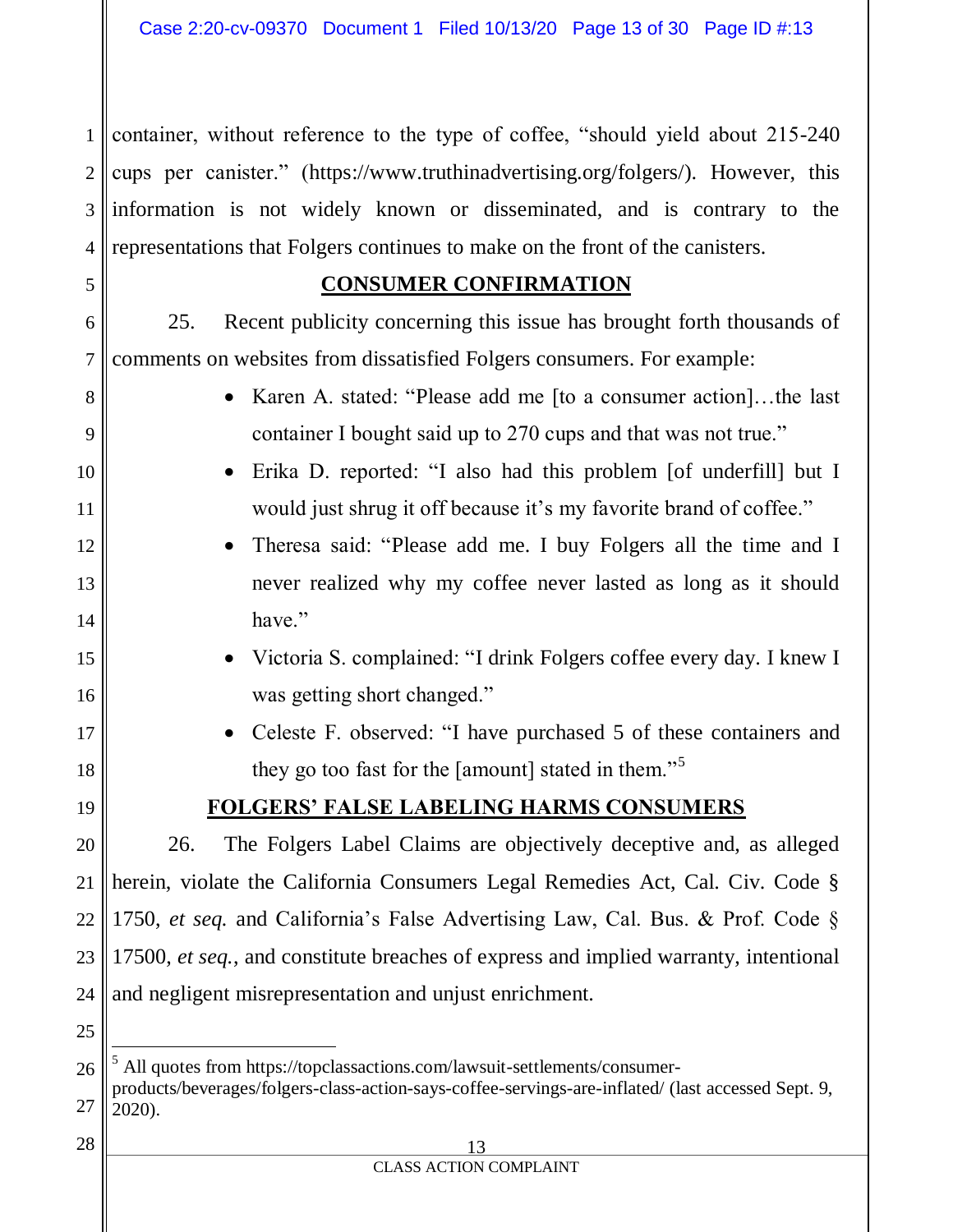1 2 3 4 container, without reference to the type of coffee, "should yield about 215-240 cups per canister." (https://www.truthinadvertising.org/folgers/). However, this information is not widely known or disseminated, and is contrary to the representations that Folgers continues to make on the front of the canisters.

#### **CONSUMER CONFIRMATION**

25. Recent publicity concerning this issue has brought forth thousands of comments on websites from dissatisfied Folgers consumers. For example:

8

9

10

11

12

13

14

15

16

17

18

19

20

21

22

23

24

25

5

6

7

- Karen A. stated: "Please add me [to a consumer action]...the last container I bought said up to 270 cups and that was not true."
- Erika D. reported: "I also had this problem [of underfill] but I would just shrug it off because it's my favorite brand of coffee."
- Theresa said: "Please add me. I buy Folgers all the time and I never realized why my coffee never lasted as long as it should have."
- Victoria S. complained: "I drink Folgers coffee every day. I knew I was getting short changed."
- Celeste F. observed: "I have purchased 5 of these containers and they go too fast for the [amount] stated in them."<sup>5</sup>

# **FOLGERS' FALSE LABELING HARMS CONSUMERS**

26. The Folgers Label Claims are objectively deceptive and, as alleged herein, violate the California Consumers Legal Remedies Act, Cal. Civ. Code § 1750, *et seq.* and California's False Advertising Law, Cal. Bus. & Prof. Code § 17500, *et seq.*, and constitute breaches of express and implied warranty, intentional and negligent misrepresentation and unjust enrichment.

13 CLASS ACTION COMPLAINT

<sup>26</sup> 27  $\overline{a}$ All quotes from [https://topclassactions.com/lawsuit-settlements/consumer](https://topclassactions.com/lawsuit-settlements/consumer-products/beverages/folgers-class-action-says-coffee-servings-are-inflated/)[products/beverages/folgers-class-action-says-coffee-servings-are-inflated/](https://topclassactions.com/lawsuit-settlements/consumer-products/beverages/folgers-class-action-says-coffee-servings-are-inflated/) (last accessed Sept. 9, 2020).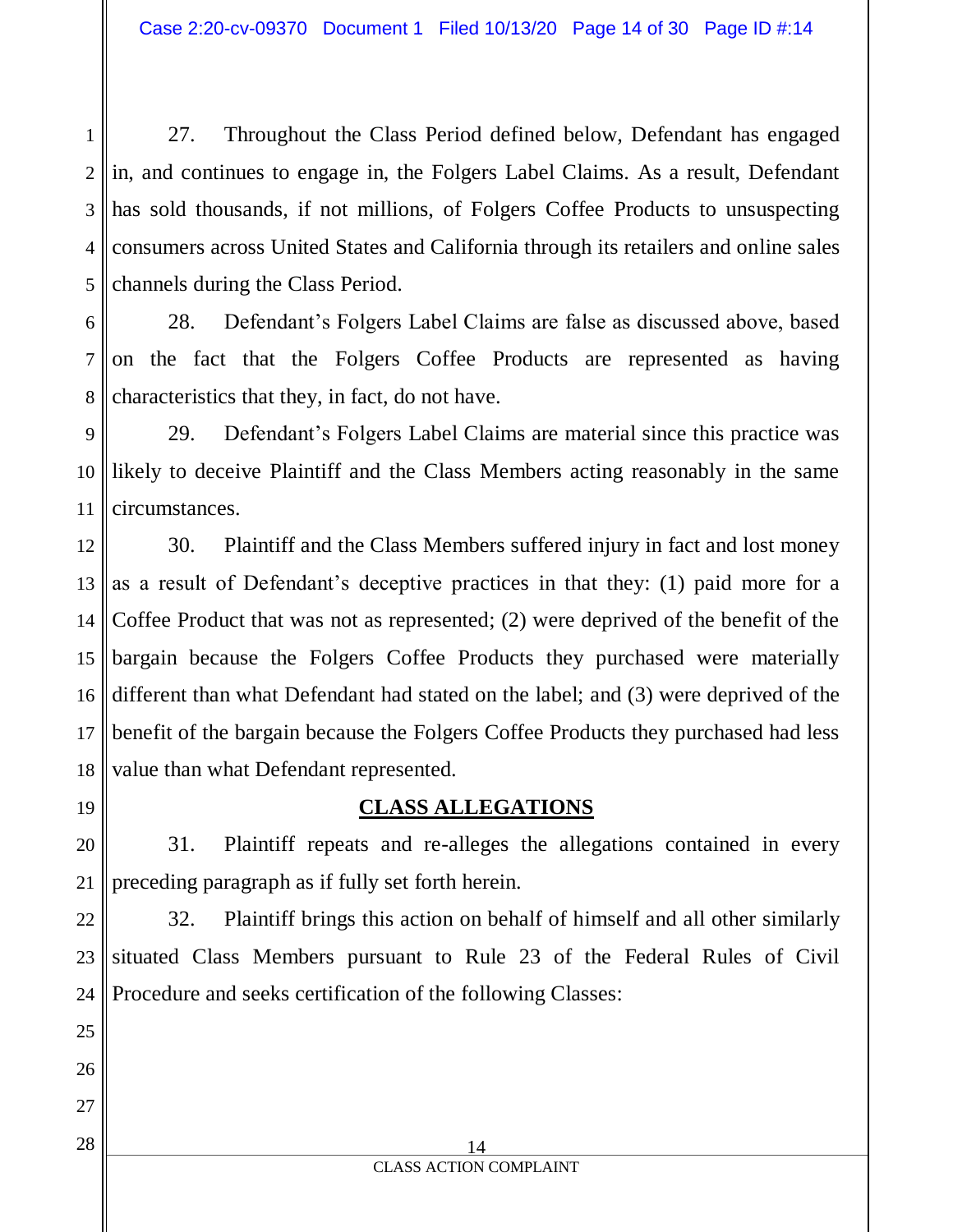1 2 3 4 5 27. Throughout the Class Period defined below, Defendant has engaged in, and continues to engage in, the Folgers Label Claims. As a result, Defendant has sold thousands, if not millions, of Folgers Coffee Products to unsuspecting consumers across United States and California through its retailers and online sales channels during the Class Period.

6 7 8 28. Defendant's Folgers Label Claims are false as discussed above, based on the fact that the Folgers Coffee Products are represented as having characteristics that they, in fact, do not have.

9 10 11 29. Defendant's Folgers Label Claims are material since this practice was likely to deceive Plaintiff and the Class Members acting reasonably in the same circumstances.

12 13 14 15 16 17 18 30. Plaintiff and the Class Members suffered injury in fact and lost money as a result of Defendant's deceptive practices in that they: (1) paid more for a Coffee Product that was not as represented; (2) were deprived of the benefit of the bargain because the Folgers Coffee Products they purchased were materially different than what Defendant had stated on the label; and (3) were deprived of the benefit of the bargain because the Folgers Coffee Products they purchased had less value than what Defendant represented.

19

20

21

25

26

27

28

# **CLASS ALLEGATIONS**

31. Plaintiff repeats and re-alleges the allegations contained in every preceding paragraph as if fully set forth herein.

22 23 24 32. Plaintiff brings this action on behalf of himself and all other similarly situated Class Members pursuant to Rule 23 of the Federal Rules of Civil Procedure and seeks certification of the following Classes: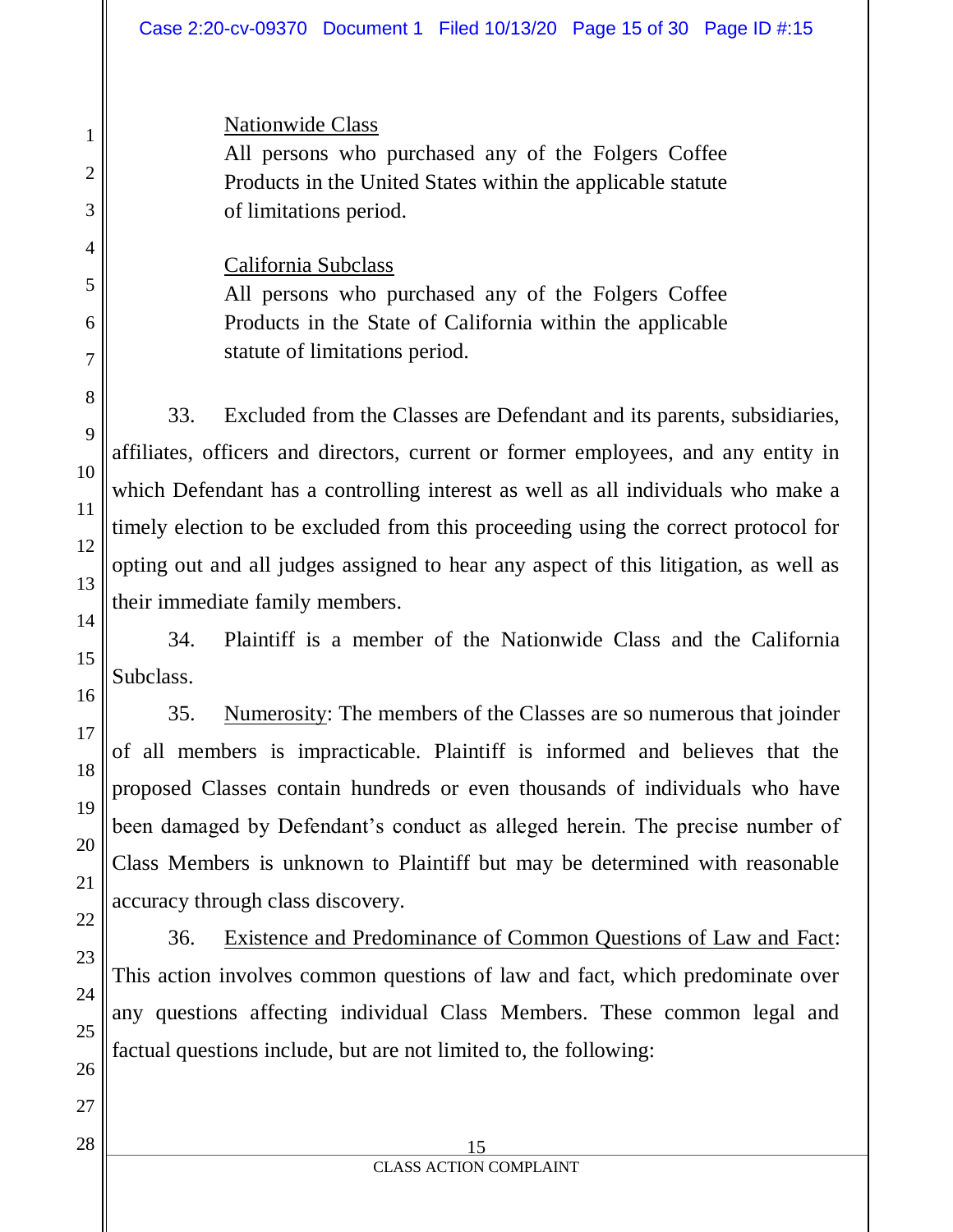Nationwide Class

All persons who purchased any of the Folgers Coffee Products in the United States within the applicable statute of limitations period.

California Subclass

All persons who purchased any of the Folgers Coffee Products in the State of California within the applicable statute of limitations period.

33. Excluded from the Classes are Defendant and its parents, subsidiaries, affiliates, officers and directors, current or former employees, and any entity in which Defendant has a controlling interest as well as all individuals who make a timely election to be excluded from this proceeding using the correct protocol for opting out and all judges assigned to hear any aspect of this litigation, as well as their immediate family members.

34. Plaintiff is a member of the Nationwide Class and the California Subclass.

35. Numerosity: The members of the Classes are so numerous that joinder of all members is impracticable. Plaintiff is informed and believes that the proposed Classes contain hundreds or even thousands of individuals who have been damaged by Defendant's conduct as alleged herein. The precise number of Class Members is unknown to Plaintiff but may be determined with reasonable accuracy through class discovery.

36. Existence and Predominance of Common Questions of Law and Fact: This action involves common questions of law and fact, which predominate over any questions affecting individual Class Members. These common legal and factual questions include, but are not limited to, the following: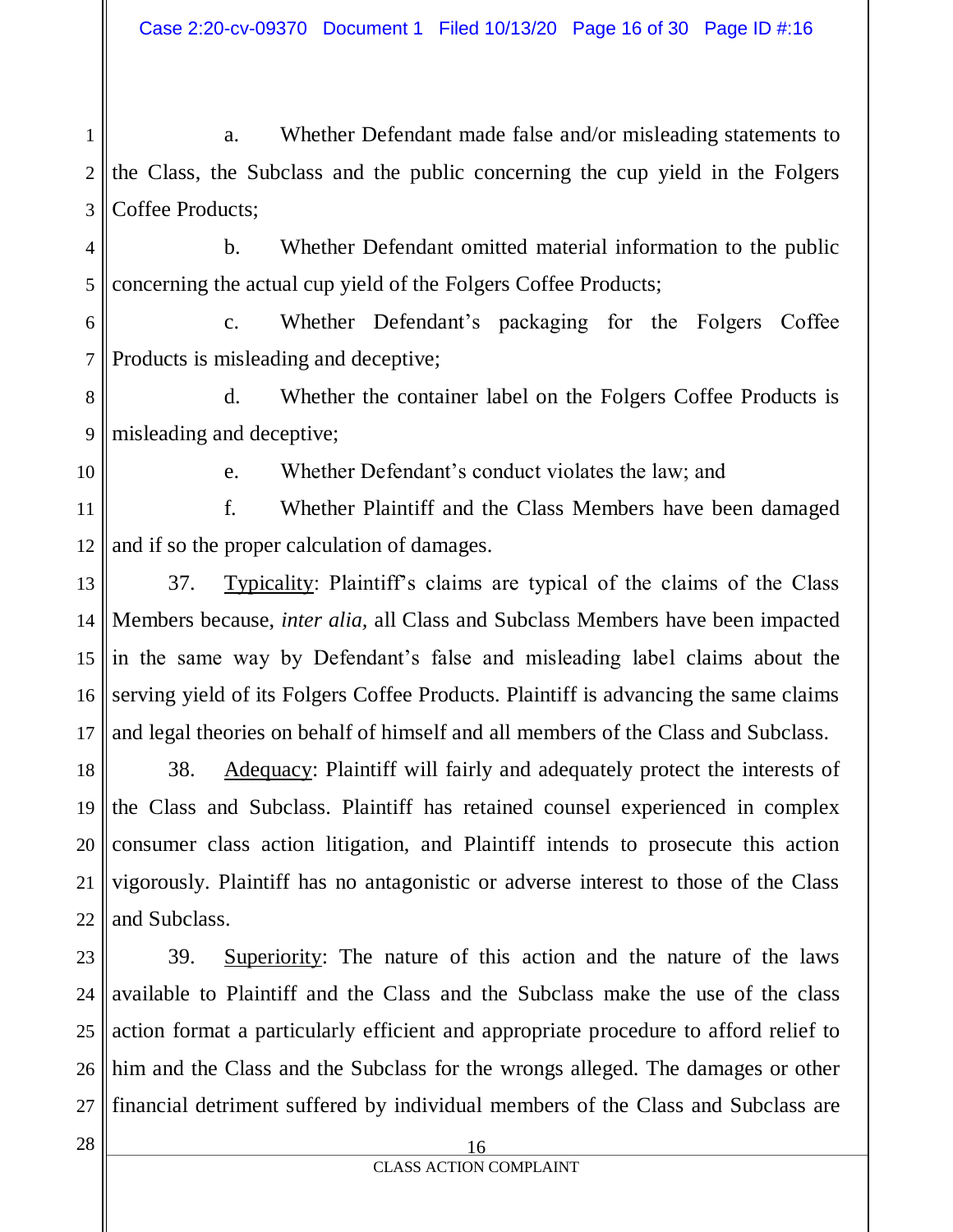1 2 3 a. Whether Defendant made false and/or misleading statements to the Class, the Subclass and the public concerning the cup yield in the Folgers Coffee Products;

4 5 b. Whether Defendant omitted material information to the public concerning the actual cup yield of the Folgers Coffee Products;

6 7 c. Whether Defendant's packaging for the Folgers Coffee Products is misleading and deceptive;

8 9 d. Whether the container label on the Folgers Coffee Products is misleading and deceptive;

10

e. Whether Defendant's conduct violates the law; and

11 12 f. Whether Plaintiff and the Class Members have been damaged and if so the proper calculation of damages.

13 14 15 16 17 37. Typicality: Plaintiff's claims are typical of the claims of the Class Members because, *inter alia,* all Class and Subclass Members have been impacted in the same way by Defendant's false and misleading label claims about the serving yield of its Folgers Coffee Products. Plaintiff is advancing the same claims and legal theories on behalf of himself and all members of the Class and Subclass.

18 19 20 21 22 38. Adequacy: Plaintiff will fairly and adequately protect the interests of the Class and Subclass. Plaintiff has retained counsel experienced in complex consumer class action litigation, and Plaintiff intends to prosecute this action vigorously. Plaintiff has no antagonistic or adverse interest to those of the Class and Subclass.

23 24 25 26 27 39. Superiority: The nature of this action and the nature of the laws available to Plaintiff and the Class and the Subclass make the use of the class action format a particularly efficient and appropriate procedure to afford relief to him and the Class and the Subclass for the wrongs alleged. The damages or other financial detriment suffered by individual members of the Class and Subclass are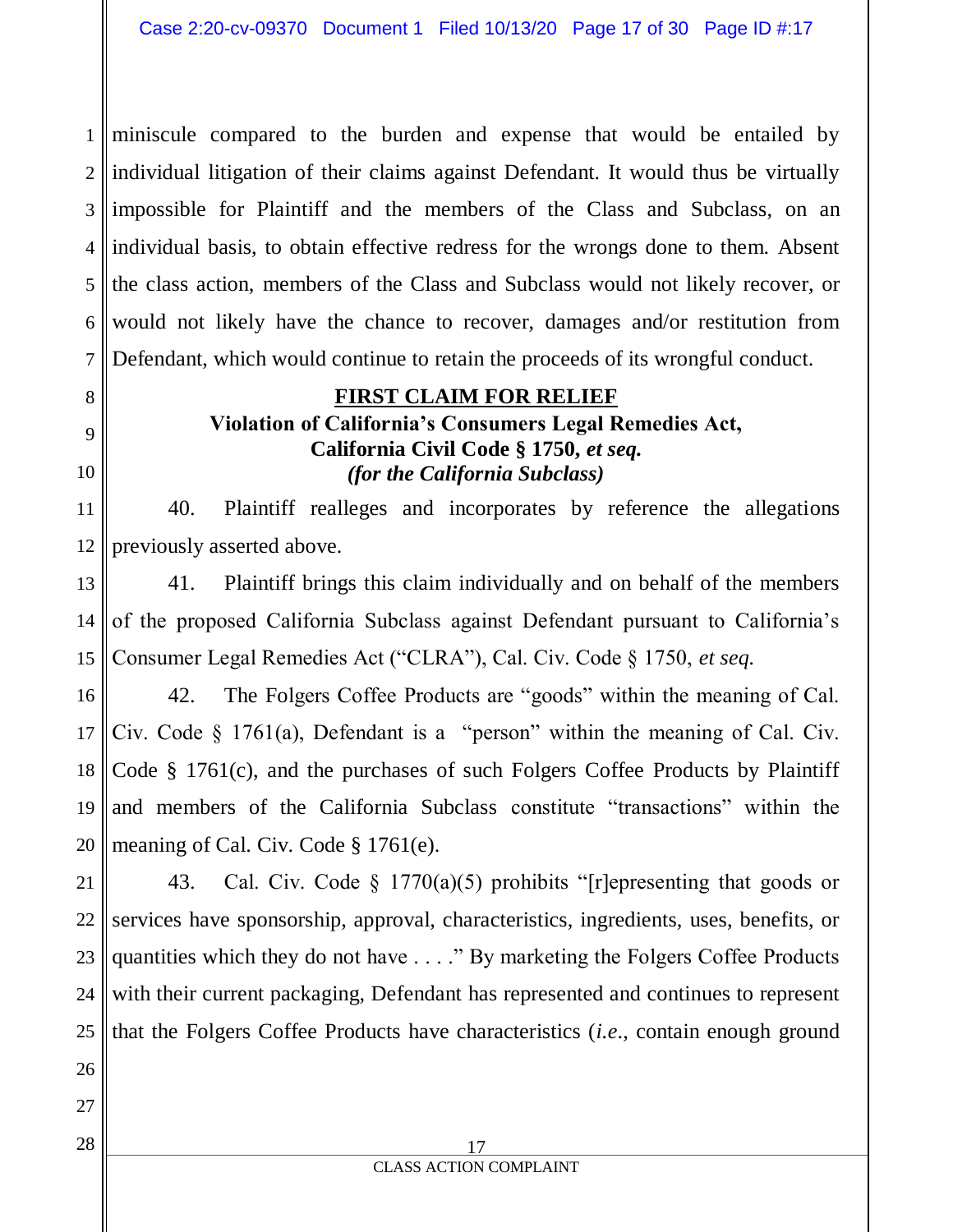1 2 3 4 5 6 7 miniscule compared to the burden and expense that would be entailed by individual litigation of their claims against Defendant. It would thus be virtually impossible for Plaintiff and the members of the Class and Subclass, on an individual basis, to obtain effective redress for the wrongs done to them. Absent the class action, members of the Class and Subclass would not likely recover, or would not likely have the chance to recover, damages and/or restitution from Defendant, which would continue to retain the proceeds of its wrongful conduct.

#### **FIRST CLAIM FOR RELIEF**

# **Violation of California's Consumers Legal Remedies Act, California Civil Code § 1750,** *et seq. (for the California Subclass)*

11 12 40. Plaintiff realleges and incorporates by reference the allegations previously asserted above.

13 14 15 41. Plaintiff brings this claim individually and on behalf of the members of the proposed California Subclass against Defendant pursuant to California's Consumer Legal Remedies Act ("CLRA"), Cal. Civ. Code § 1750, *et seq.*

16 17 18 19 20 42. The Folgers Coffee Products are "goods" within the meaning of Cal. Civ. Code § 1761(a), Defendant is a "person" within the meaning of Cal. Civ. Code § 1761(c), and the purchases of such Folgers Coffee Products by Plaintiff and members of the California Subclass constitute "transactions" within the meaning of Cal. Civ. Code § 1761(e).

21 22 23 24 25 43. Cal. Civ. Code  $\S$  1770(a)(5) prohibits "[r]epresenting that goods or services have sponsorship, approval, characteristics, ingredients, uses, benefits, or quantities which they do not have . . . ." By marketing the Folgers Coffee Products with their current packaging, Defendant has represented and continues to represent that the Folgers Coffee Products have characteristics (*i.e*., contain enough ground

27

26

8

9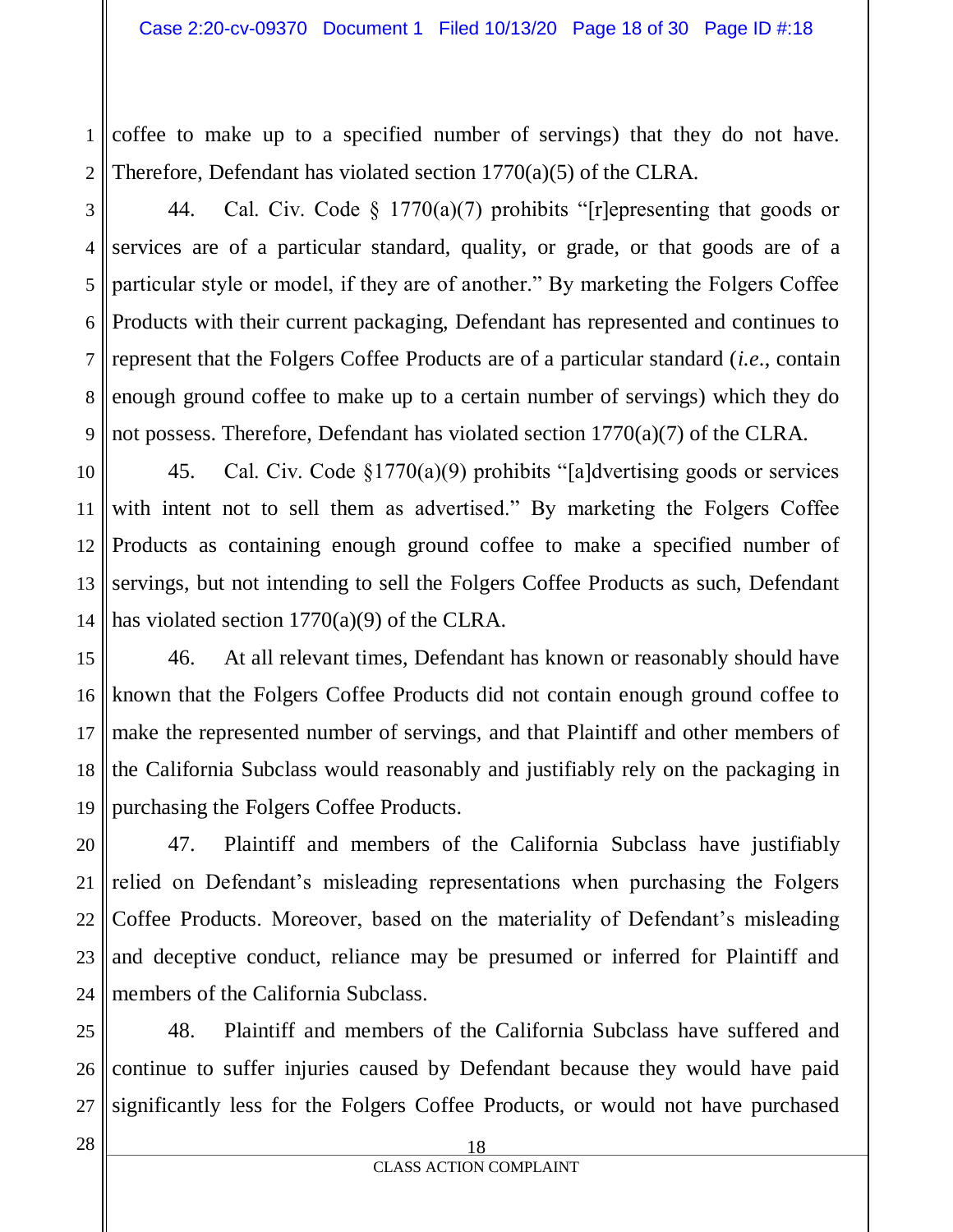1 2 coffee to make up to a specified number of servings) that they do not have. Therefore, Defendant has violated section 1770(a)(5) of the CLRA.

3 4 5 6 7 8 9 44. Cal. Civ. Code § 1770(a)(7) prohibits "[r]epresenting that goods or services are of a particular standard, quality, or grade, or that goods are of a particular style or model, if they are of another." By marketing the Folgers Coffee Products with their current packaging, Defendant has represented and continues to represent that the Folgers Coffee Products are of a particular standard (*i.e*., contain enough ground coffee to make up to a certain number of servings) which they do not possess. Therefore, Defendant has violated section 1770(a)(7) of the CLRA.

10 11 12 13 14 45. Cal. Civ. Code §1770(a)(9) prohibits "[a]dvertising goods or services with intent not to sell them as advertised." By marketing the Folgers Coffee Products as containing enough ground coffee to make a specified number of servings, but not intending to sell the Folgers Coffee Products as such, Defendant has violated section 1770(a)(9) of the CLRA.

15 16 17 18 19 46. At all relevant times, Defendant has known or reasonably should have known that the Folgers Coffee Products did not contain enough ground coffee to make the represented number of servings, and that Plaintiff and other members of the California Subclass would reasonably and justifiably rely on the packaging in purchasing the Folgers Coffee Products.

20 21 22 23 24 47. Plaintiff and members of the California Subclass have justifiably relied on Defendant's misleading representations when purchasing the Folgers Coffee Products. Moreover, based on the materiality of Defendant's misleading and deceptive conduct, reliance may be presumed or inferred for Plaintiff and members of the California Subclass.

25 26 27 48. Plaintiff and members of the California Subclass have suffered and continue to suffer injuries caused by Defendant because they would have paid significantly less for the Folgers Coffee Products, or would not have purchased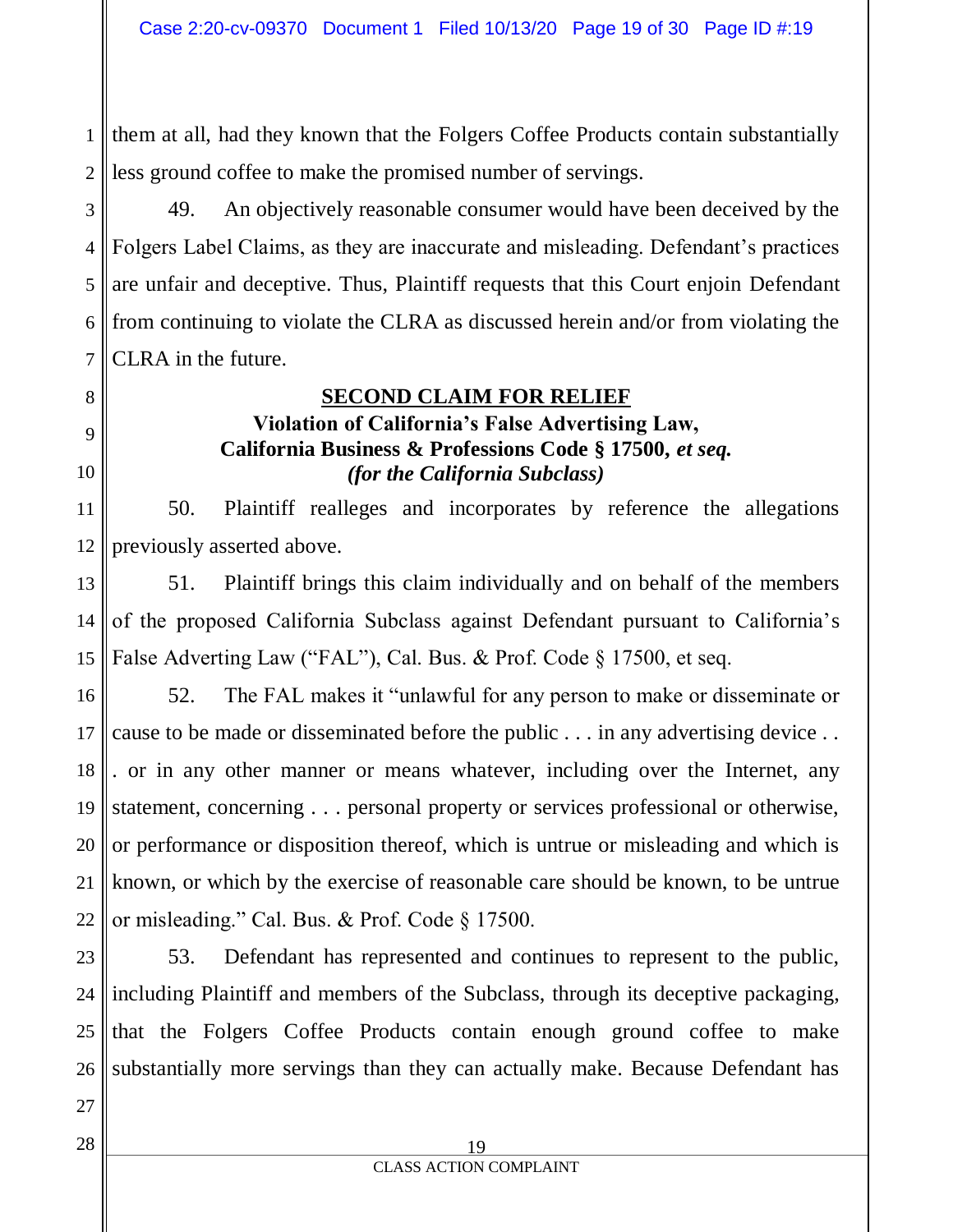1 2 them at all, had they known that the Folgers Coffee Products contain substantially less ground coffee to make the promised number of servings.

3 4 5 6 7 49. An objectively reasonable consumer would have been deceived by the Folgers Label Claims, as they are inaccurate and misleading. Defendant's practices are unfair and deceptive. Thus, Plaintiff requests that this Court enjoin Defendant from continuing to violate the CLRA as discussed herein and/or from violating the CLRA in the future.

#### **SECOND CLAIM FOR RELIEF**

## **Violation of California's False Advertising Law, California Business & Professions Code § 17500,** *et seq. (for the California Subclass)*

11 12 50. Plaintiff realleges and incorporates by reference the allegations previously asserted above.

13 14 15 51. Plaintiff brings this claim individually and on behalf of the members of the proposed California Subclass against Defendant pursuant to California's False Adverting Law ("FAL"), Cal. Bus. & Prof. Code § 17500, et seq.

16 17 18 19 20 21 22 52. The FAL makes it "unlawful for any person to make or disseminate or cause to be made or disseminated before the public . . . in any advertising device . . . or in any other manner or means whatever, including over the Internet, any statement, concerning . . . personal property or services professional or otherwise, or performance or disposition thereof, which is untrue or misleading and which is known, or which by the exercise of reasonable care should be known, to be untrue or misleading." Cal. Bus. & Prof. Code § 17500.

23 24 25 26 53. Defendant has represented and continues to represent to the public, including Plaintiff and members of the Subclass, through its deceptive packaging, that the Folgers Coffee Products contain enough ground coffee to make substantially more servings than they can actually make. Because Defendant has

27

8

9

10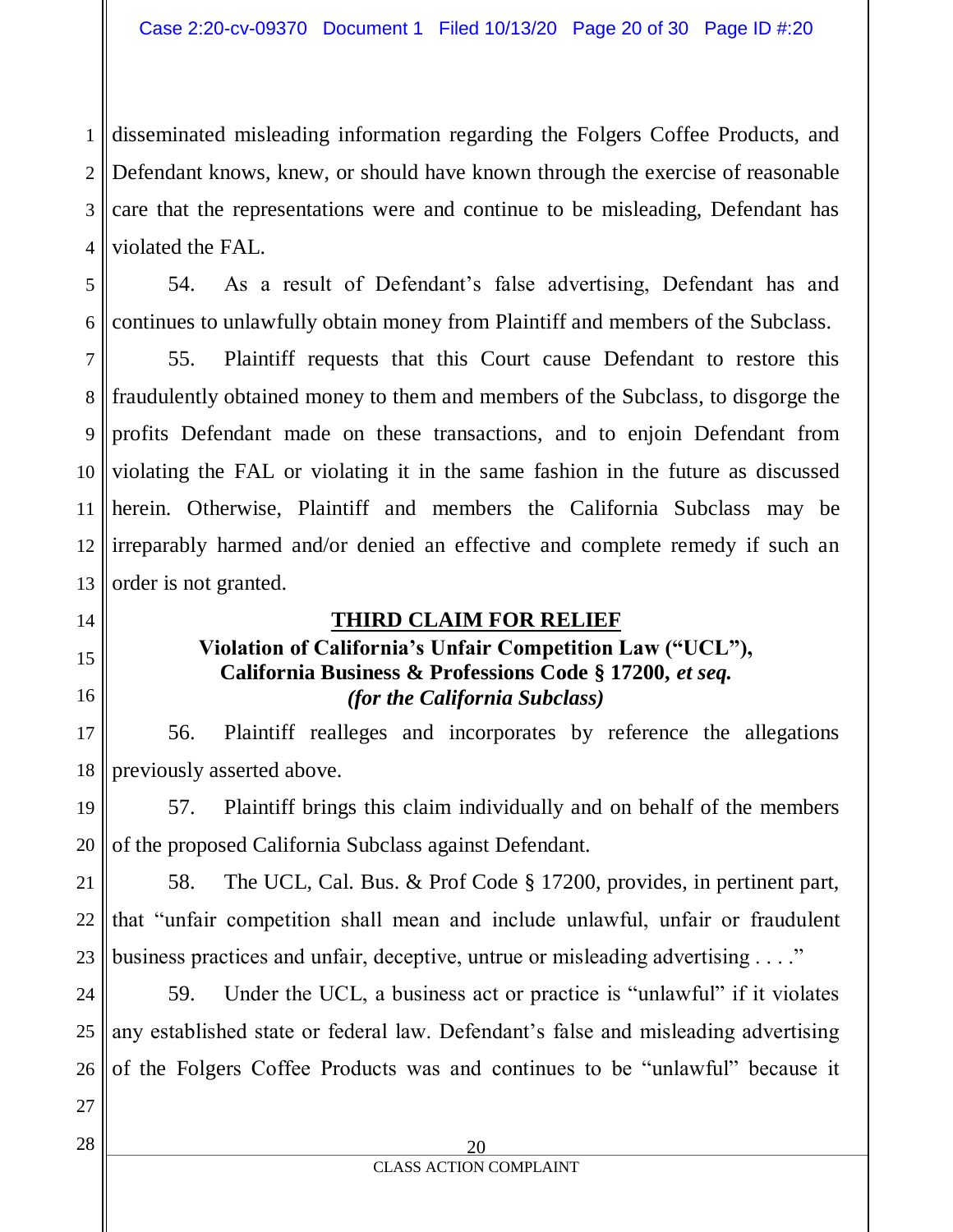1 2 3 4 disseminated misleading information regarding the Folgers Coffee Products, and Defendant knows, knew, or should have known through the exercise of reasonable care that the representations were and continue to be misleading, Defendant has violated the FAL.

5 6 54. As a result of Defendant's false advertising, Defendant has and continues to unlawfully obtain money from Plaintiff and members of the Subclass.

7 8 9 10 11 12 13 55. Plaintiff requests that this Court cause Defendant to restore this fraudulently obtained money to them and members of the Subclass, to disgorge the profits Defendant made on these transactions, and to enjoin Defendant from violating the FAL or violating it in the same fashion in the future as discussed herein. Otherwise, Plaintiff and members the California Subclass may be irreparably harmed and/or denied an effective and complete remedy if such an order is not granted.

# **THIRD CLAIM FOR RELIEF**

# **Violation of California's Unfair Competition Law ("UCL"),**

# **California Business & Professions Code § 17200,** *et seq. (for the California Subclass)*

17 18 56. Plaintiff realleges and incorporates by reference the allegations previously asserted above.

19 20 57. Plaintiff brings this claim individually and on behalf of the members of the proposed California Subclass against Defendant.

21 22 23 58. The UCL, Cal. Bus. & Prof Code § 17200, provides, in pertinent part, that "unfair competition shall mean and include unlawful, unfair or fraudulent business practices and unfair, deceptive, untrue or misleading advertising . . . ."

24 25 26 59. Under the UCL, a business act or practice is "unlawful" if it violates any established state or federal law. Defendant's false and misleading advertising of the Folgers Coffee Products was and continues to be "unlawful" because it

27 28

14

15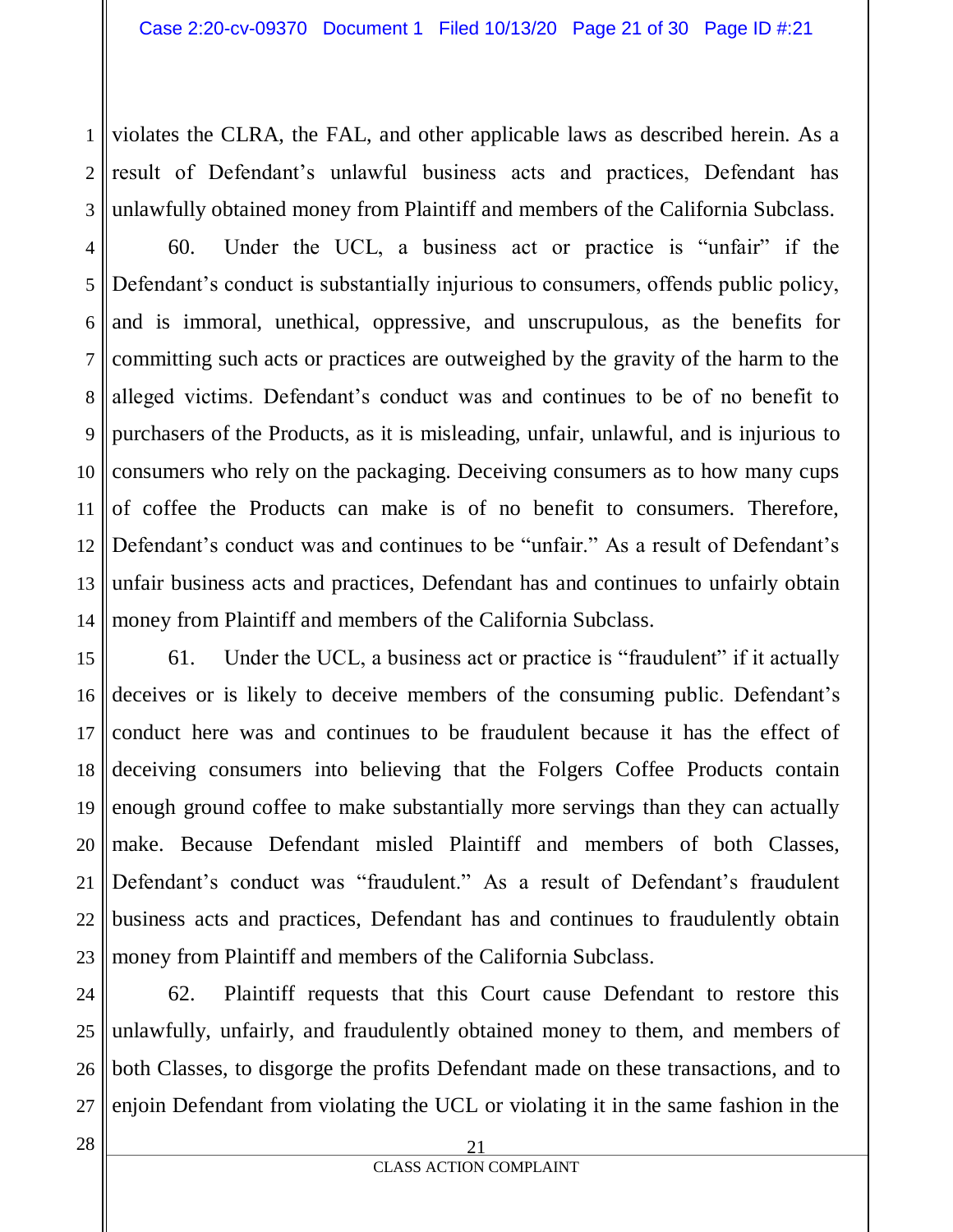1 2 3 violates the CLRA, the FAL, and other applicable laws as described herein. As a result of Defendant's unlawful business acts and practices, Defendant has unlawfully obtained money from Plaintiff and members of the California Subclass.

4 5 6 7 8 9 10 11 12 13 14 60. Under the UCL, a business act or practice is "unfair" if the Defendant's conduct is substantially injurious to consumers, offends public policy, and is immoral, unethical, oppressive, and unscrupulous, as the benefits for committing such acts or practices are outweighed by the gravity of the harm to the alleged victims. Defendant's conduct was and continues to be of no benefit to purchasers of the Products, as it is misleading, unfair, unlawful, and is injurious to consumers who rely on the packaging. Deceiving consumers as to how many cups of coffee the Products can make is of no benefit to consumers. Therefore, Defendant's conduct was and continues to be "unfair." As a result of Defendant's unfair business acts and practices, Defendant has and continues to unfairly obtain money from Plaintiff and members of the California Subclass.

15 16 17 18 19 20 21 22 23 61. Under the UCL, a business act or practice is "fraudulent" if it actually deceives or is likely to deceive members of the consuming public. Defendant's conduct here was and continues to be fraudulent because it has the effect of deceiving consumers into believing that the Folgers Coffee Products contain enough ground coffee to make substantially more servings than they can actually make. Because Defendant misled Plaintiff and members of both Classes, Defendant's conduct was "fraudulent." As a result of Defendant's fraudulent business acts and practices, Defendant has and continues to fraudulently obtain money from Plaintiff and members of the California Subclass.

24 25 26 27 62. Plaintiff requests that this Court cause Defendant to restore this unlawfully, unfairly, and fraudulently obtained money to them, and members of both Classes, to disgorge the profits Defendant made on these transactions, and to enjoin Defendant from violating the UCL or violating it in the same fashion in the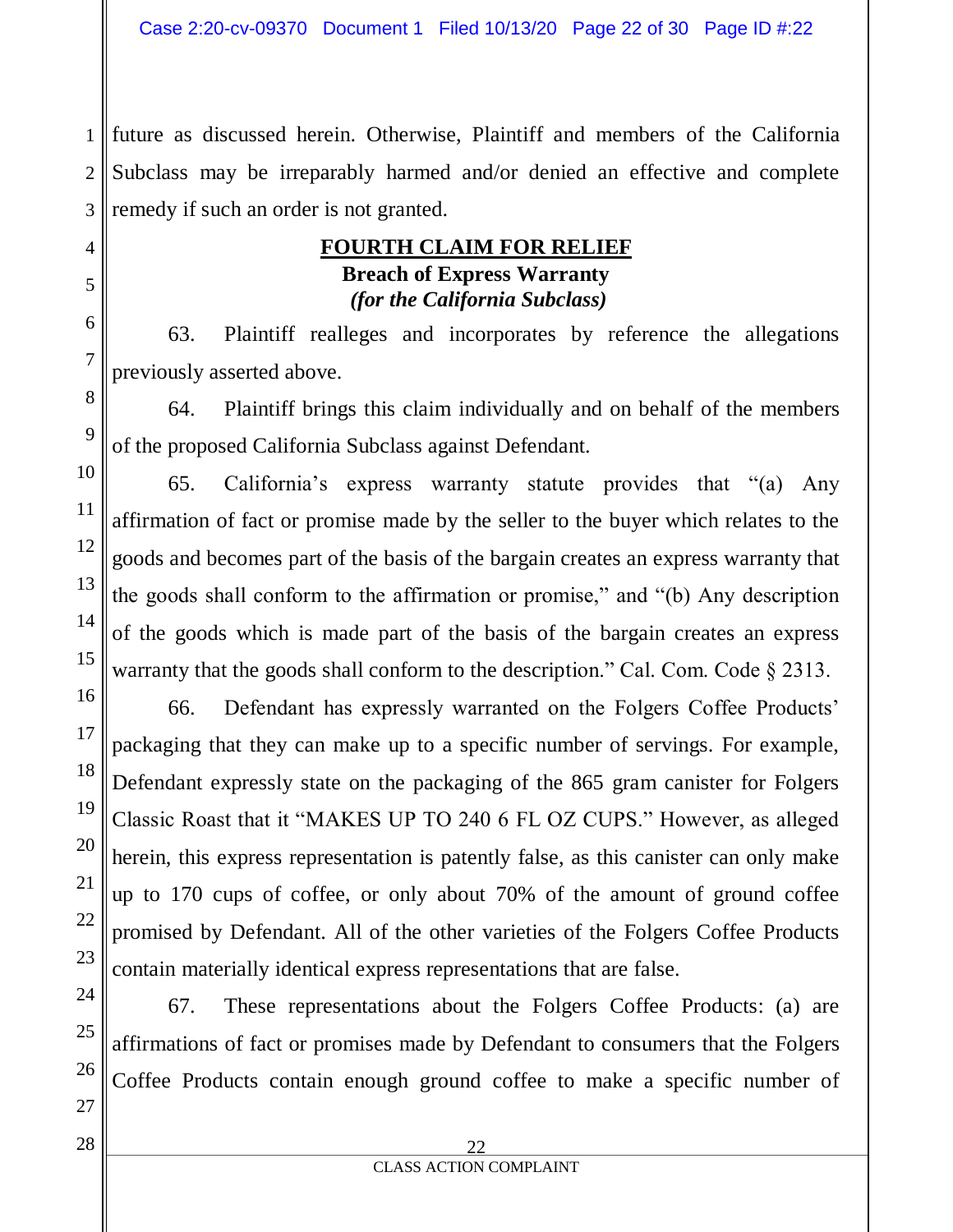1 2 3 future as discussed herein. Otherwise, Plaintiff and members of the California Subclass may be irreparably harmed and/or denied an effective and complete remedy if such an order is not granted.

# **FOURTH CLAIM FOR RELIEF Breach of Express Warranty** *(for the California Subclass)*

63. Plaintiff realleges and incorporates by reference the allegations previously asserted above.

64. Plaintiff brings this claim individually and on behalf of the members of the proposed California Subclass against Defendant.

65. California's express warranty statute provides that "(a) Any affirmation of fact or promise made by the seller to the buyer which relates to the goods and becomes part of the basis of the bargain creates an express warranty that the goods shall conform to the affirmation or promise," and "(b) Any description of the goods which is made part of the basis of the bargain creates an express warranty that the goods shall conform to the description." Cal. Com. Code § 2313.

66. Defendant has expressly warranted on the Folgers Coffee Products' packaging that they can make up to a specific number of servings. For example, Defendant expressly state on the packaging of the 865 gram canister for Folgers Classic Roast that it "MAKES UP TO 240 6 FL OZ CUPS." However, as alleged herein, this express representation is patently false, as this canister can only make up to 170 cups of coffee, or only about 70% of the amount of ground coffee promised by Defendant. All of the other varieties of the Folgers Coffee Products contain materially identical express representations that are false.

67. These representations about the Folgers Coffee Products: (a) are affirmations of fact or promises made by Defendant to consumers that the Folgers Coffee Products contain enough ground coffee to make a specific number of

4

5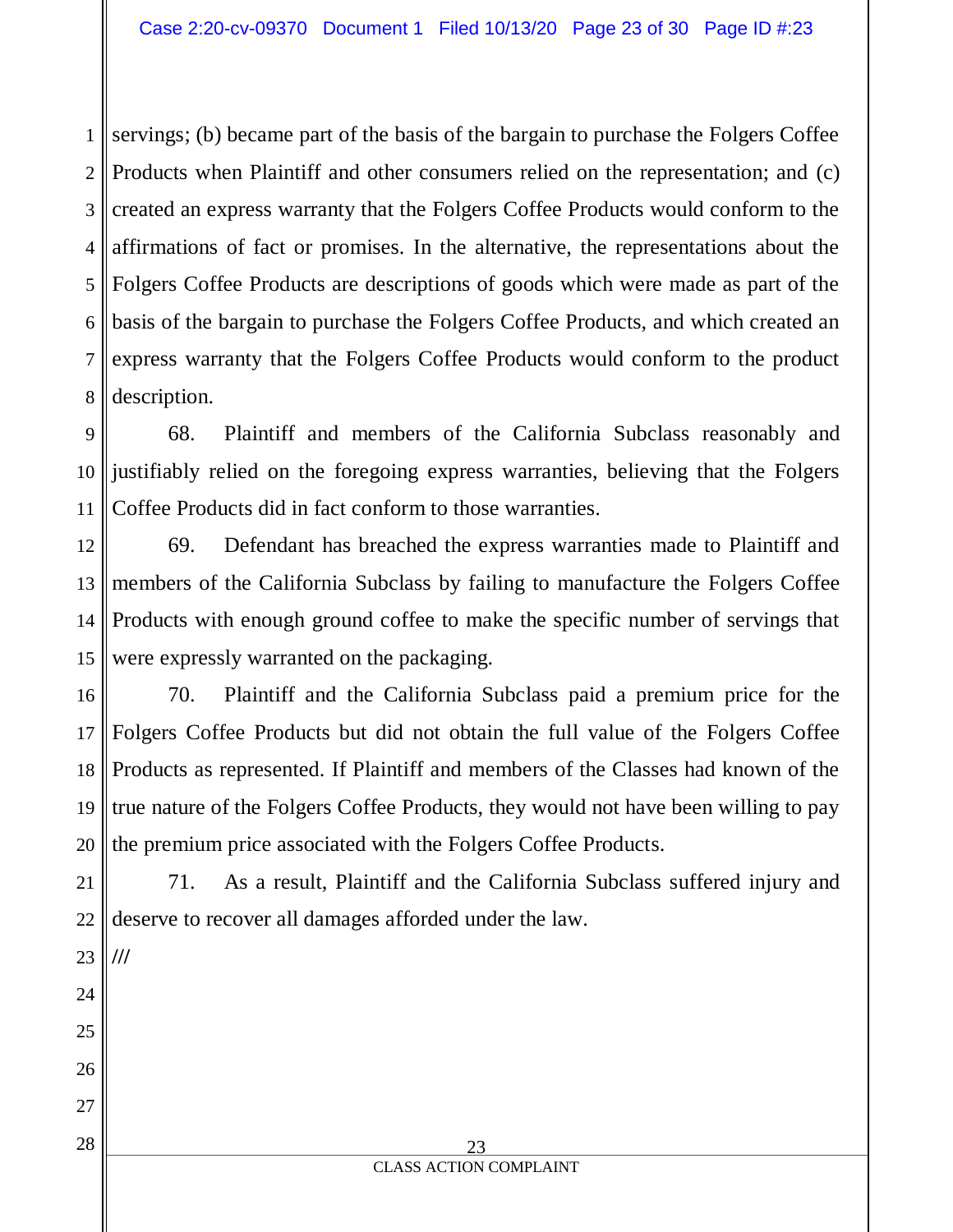1 2 3 4 5 6 7 8 servings; (b) became part of the basis of the bargain to purchase the Folgers Coffee Products when Plaintiff and other consumers relied on the representation; and (c) created an express warranty that the Folgers Coffee Products would conform to the affirmations of fact or promises. In the alternative, the representations about the Folgers Coffee Products are descriptions of goods which were made as part of the basis of the bargain to purchase the Folgers Coffee Products, and which created an express warranty that the Folgers Coffee Products would conform to the product description.

9 10 11 68. Plaintiff and members of the California Subclass reasonably and justifiably relied on the foregoing express warranties, believing that the Folgers Coffee Products did in fact conform to those warranties.

12 13 14 15 69. Defendant has breached the express warranties made to Plaintiff and members of the California Subclass by failing to manufacture the Folgers Coffee Products with enough ground coffee to make the specific number of servings that were expressly warranted on the packaging.

16 17 18 19 20 70. Plaintiff and the California Subclass paid a premium price for the Folgers Coffee Products but did not obtain the full value of the Folgers Coffee Products as represented. If Plaintiff and members of the Classes had known of the true nature of the Folgers Coffee Products, they would not have been willing to pay the premium price associated with the Folgers Coffee Products.

21 71. As a result, Plaintiff and the California Subclass suffered injury and deserve to recover all damages afforded under the law.

22 23 24 25 26 27 28 **///**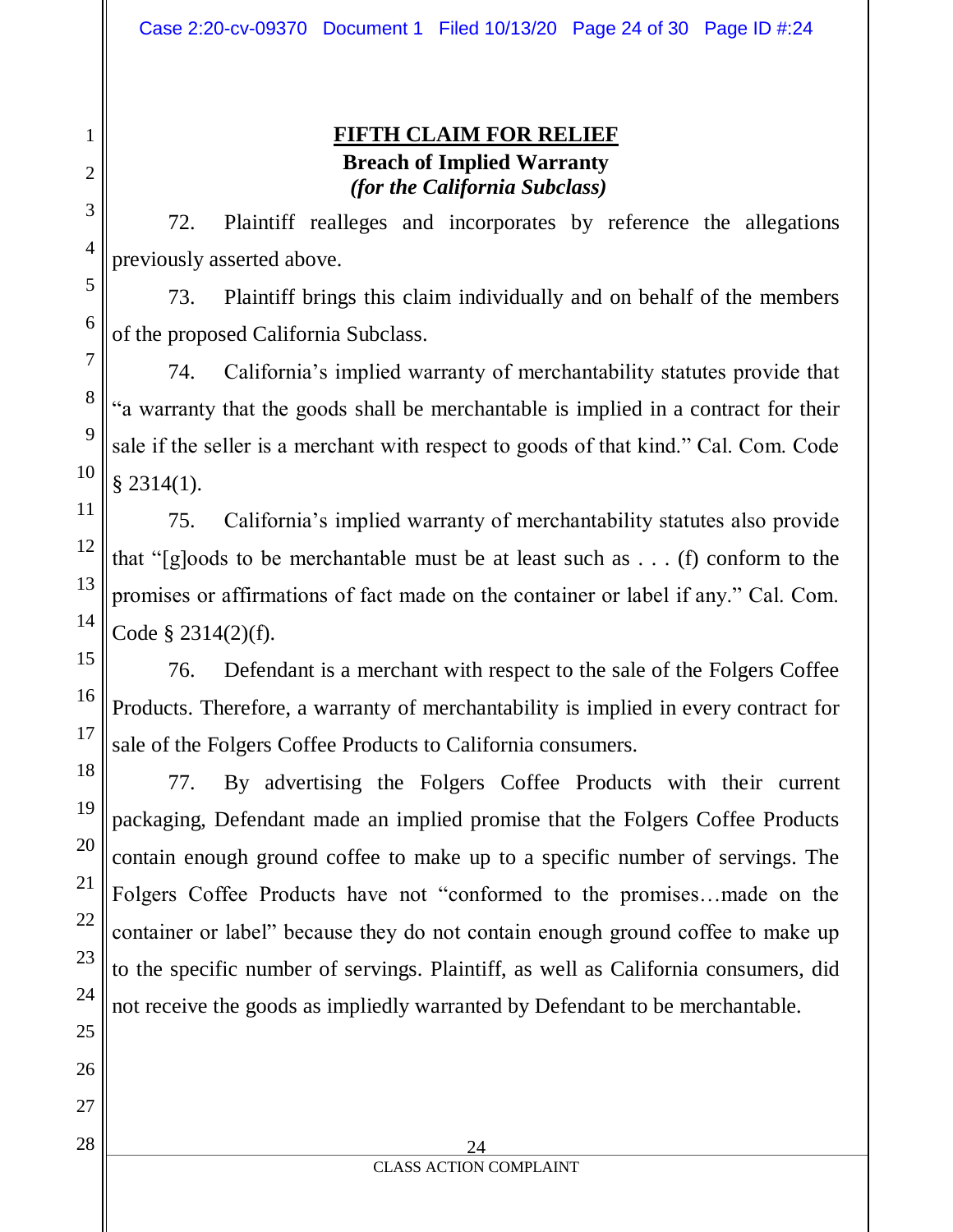# **FIFTH CLAIM FOR RELIEF Breach of Implied Warranty** *(for the California Subclass)*

72. Plaintiff realleges and incorporates by reference the allegations previously asserted above.

73. Plaintiff brings this claim individually and on behalf of the members of the proposed California Subclass.

74. California's implied warranty of merchantability statutes provide that "a warranty that the goods shall be merchantable is implied in a contract for their sale if the seller is a merchant with respect to goods of that kind." Cal. Com. Code § 2314(1).

75. California's implied warranty of merchantability statutes also provide that "[g]oods to be merchantable must be at least such as  $\dots$  (f) conform to the promises or affirmations of fact made on the container or label if any." Cal. Com. Code § 2314(2)(f).

76. Defendant is a merchant with respect to the sale of the Folgers Coffee Products. Therefore, a warranty of merchantability is implied in every contract for sale of the Folgers Coffee Products to California consumers.

77. By advertising the Folgers Coffee Products with their current packaging, Defendant made an implied promise that the Folgers Coffee Products contain enough ground coffee to make up to a specific number of servings. The Folgers Coffee Products have not "conformed to the promises…made on the container or label" because they do not contain enough ground coffee to make up to the specific number of servings. Plaintiff, as well as California consumers, did not receive the goods as impliedly warranted by Defendant to be merchantable.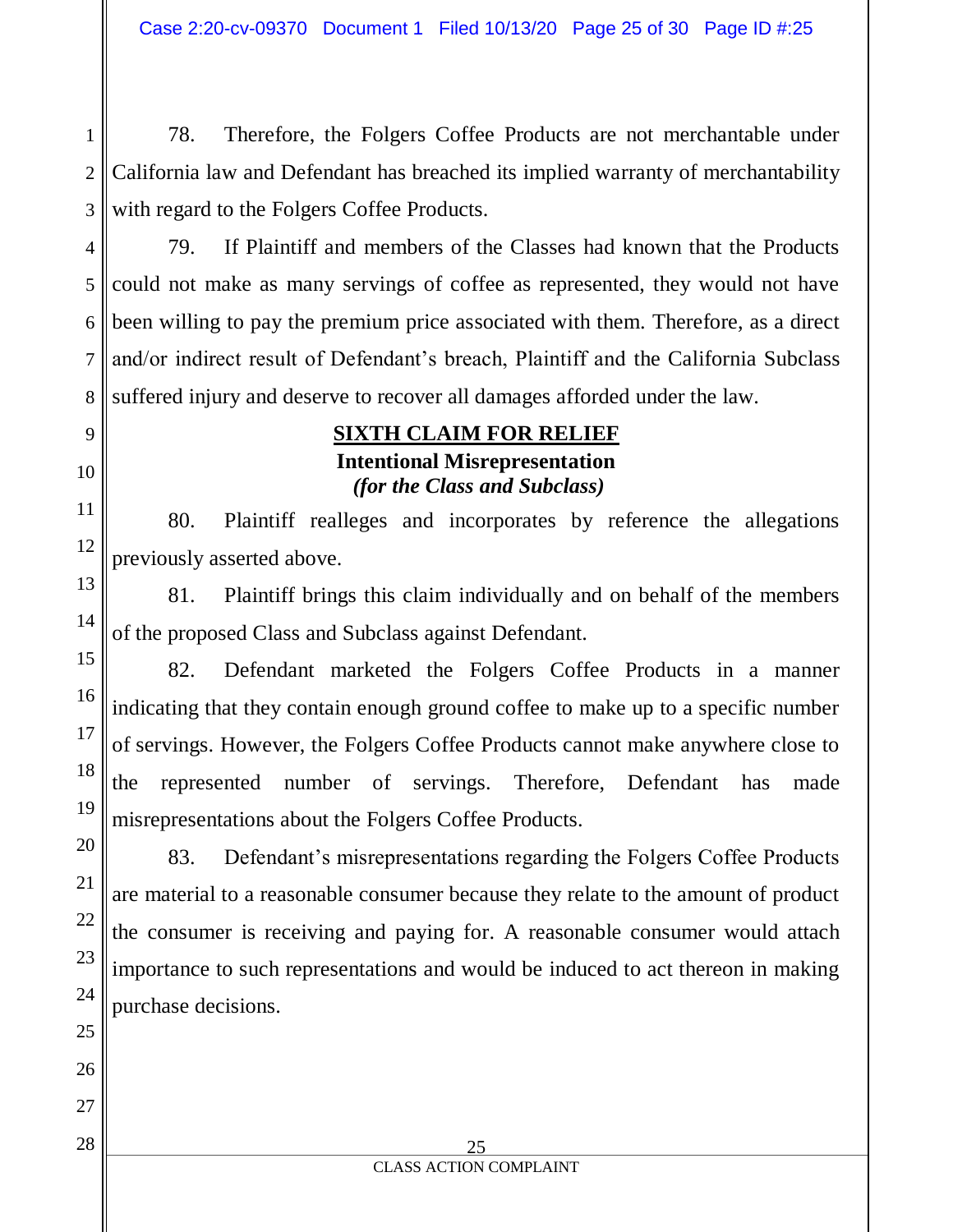1 2 78. Therefore, the Folgers Coffee Products are not merchantable under California law and Defendant has breached its implied warranty of merchantability with regard to the Folgers Coffee Products.

79. If Plaintiff and members of the Classes had known that the Products could not make as many servings of coffee as represented, they would not have been willing to pay the premium price associated with them. Therefore, as a direct and/or indirect result of Defendant's breach, Plaintiff and the California Subclass suffered injury and deserve to recover all damages afforded under the law.

## **SIXTH CLAIM FOR RELIEF Intentional Misrepresentation** *(for the Class and Subclass)*

80. Plaintiff realleges and incorporates by reference the allegations previously asserted above.

81. Plaintiff brings this claim individually and on behalf of the members of the proposed Class and Subclass against Defendant.

82. Defendant marketed the Folgers Coffee Products in a manner indicating that they contain enough ground coffee to make up to a specific number of servings. However, the Folgers Coffee Products cannot make anywhere close to the represented number of servings. Therefore, Defendant has made misrepresentations about the Folgers Coffee Products.

83. Defendant's misrepresentations regarding the Folgers Coffee Products are material to a reasonable consumer because they relate to the amount of product the consumer is receiving and paying for. A reasonable consumer would attach importance to such representations and would be induced to act thereon in making purchase decisions.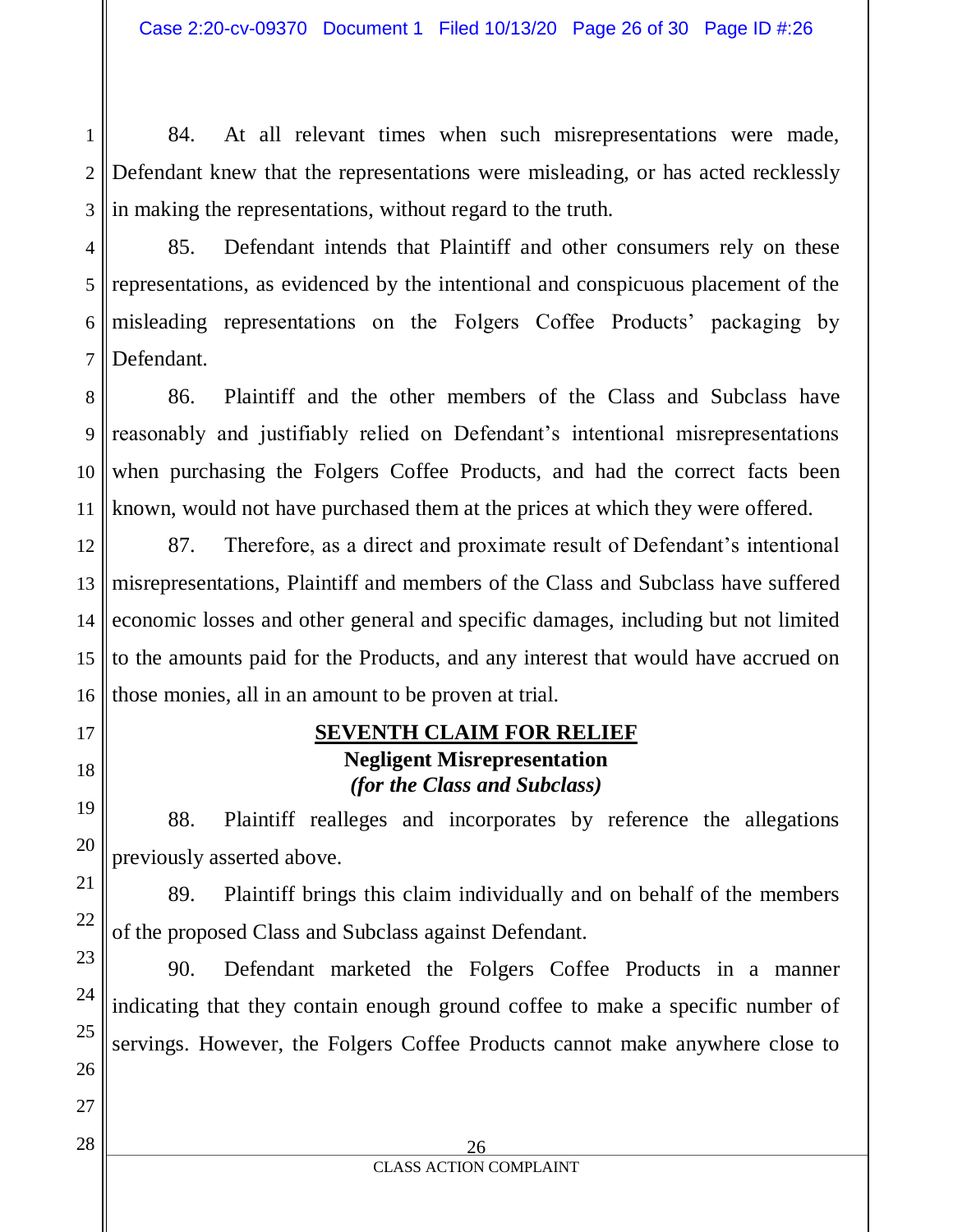1 2 3 84. At all relevant times when such misrepresentations were made, Defendant knew that the representations were misleading, or has acted recklessly in making the representations, without regard to the truth.

4 5 6 85. Defendant intends that Plaintiff and other consumers rely on these representations, as evidenced by the intentional and conspicuous placement of the misleading representations on the Folgers Coffee Products' packaging by Defendant.

86. Plaintiff and the other members of the Class and Subclass have reasonably and justifiably relied on Defendant's intentional misrepresentations when purchasing the Folgers Coffee Products, and had the correct facts been known, would not have purchased them at the prices at which they were offered.

87. Therefore, as a direct and proximate result of Defendant's intentional misrepresentations, Plaintiff and members of the Class and Subclass have suffered economic losses and other general and specific damages, including but not limited to the amounts paid for the Products, and any interest that would have accrued on those monies, all in an amount to be proven at trial.

## **SEVENTH CLAIM FOR RELIEF Negligent Misrepresentation** *(for the Class and Subclass)*

88. Plaintiff realleges and incorporates by reference the allegations previously asserted above.

89. Plaintiff brings this claim individually and on behalf of the members of the proposed Class and Subclass against Defendant.

90. Defendant marketed the Folgers Coffee Products in a manner indicating that they contain enough ground coffee to make a specific number of servings. However, the Folgers Coffee Products cannot make anywhere close to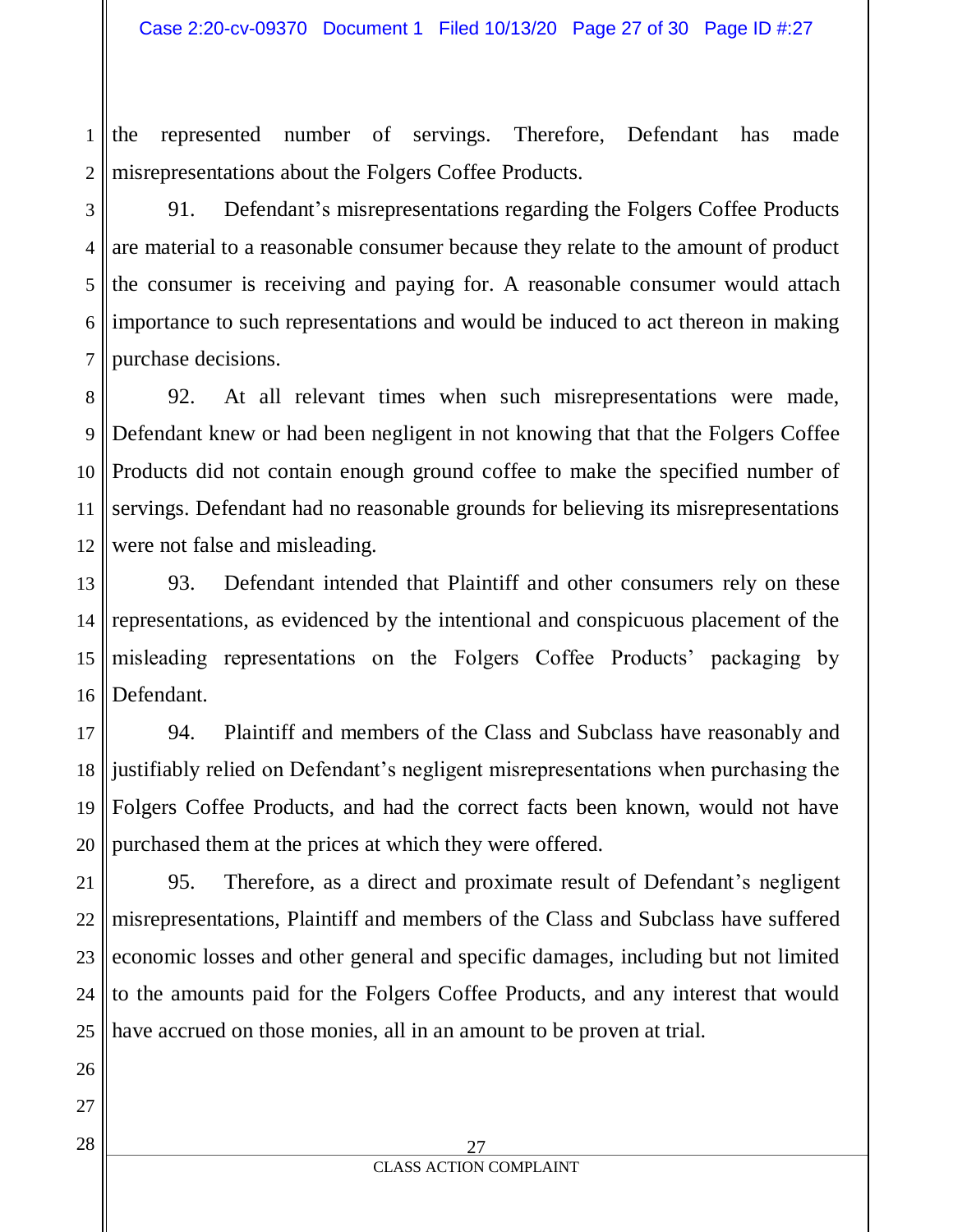1 2 the represented number of servings. Therefore, Defendant has made misrepresentations about the Folgers Coffee Products.

3 4 5 6 7 91. Defendant's misrepresentations regarding the Folgers Coffee Products are material to a reasonable consumer because they relate to the amount of product the consumer is receiving and paying for. A reasonable consumer would attach importance to such representations and would be induced to act thereon in making purchase decisions.

8 9 10 11 12 92. At all relevant times when such misrepresentations were made, Defendant knew or had been negligent in not knowing that that the Folgers Coffee Products did not contain enough ground coffee to make the specified number of servings. Defendant had no reasonable grounds for believing its misrepresentations were not false and misleading.

13 14 15 16 93. Defendant intended that Plaintiff and other consumers rely on these representations, as evidenced by the intentional and conspicuous placement of the misleading representations on the Folgers Coffee Products' packaging by Defendant.

17 18 19 20 94. Plaintiff and members of the Class and Subclass have reasonably and justifiably relied on Defendant's negligent misrepresentations when purchasing the Folgers Coffee Products, and had the correct facts been known, would not have purchased them at the prices at which they were offered.

21 22 23 24 25 95. Therefore, as a direct and proximate result of Defendant's negligent misrepresentations, Plaintiff and members of the Class and Subclass have suffered economic losses and other general and specific damages, including but not limited to the amounts paid for the Folgers Coffee Products, and any interest that would have accrued on those monies, all in an amount to be proven at trial.

28

27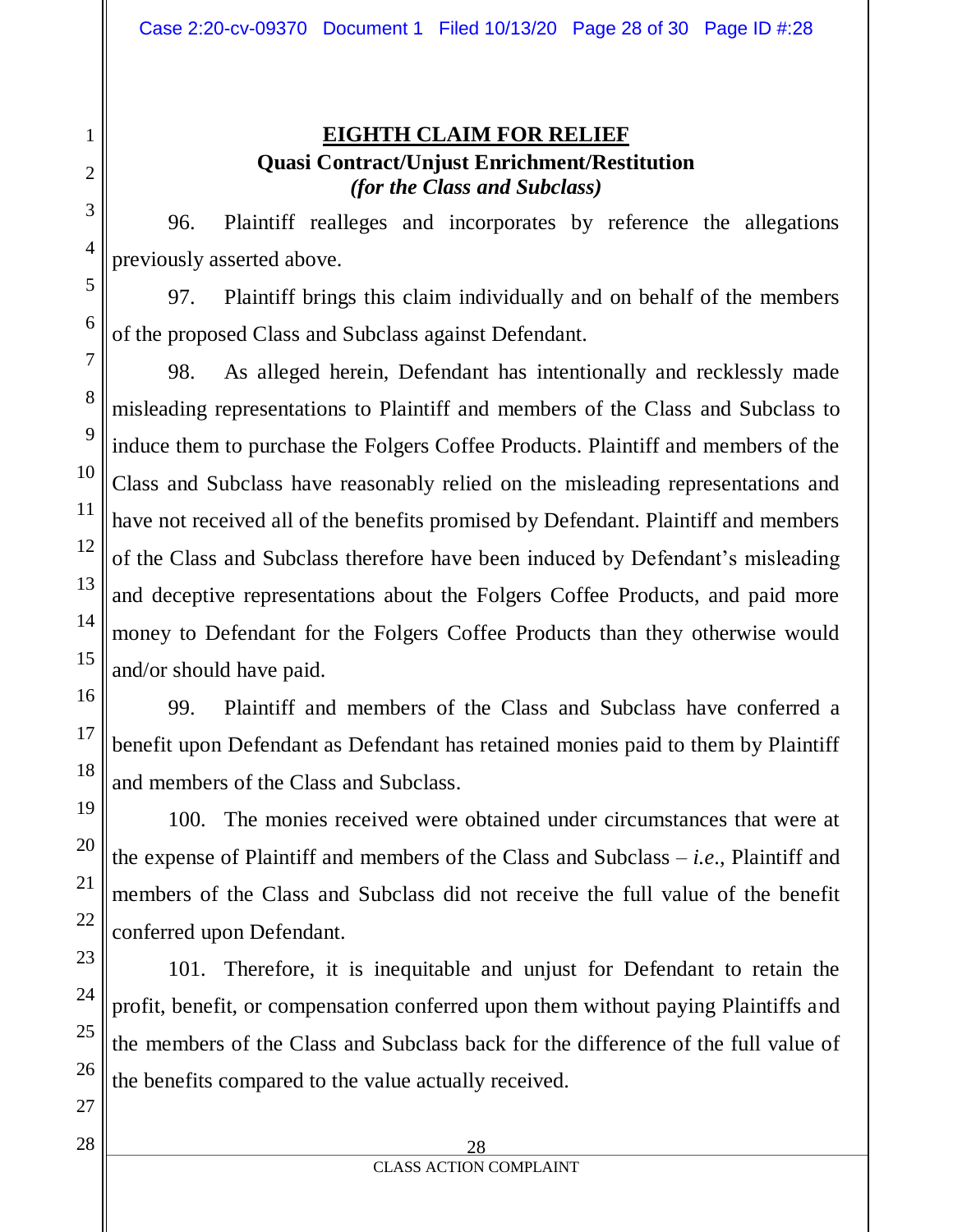# **EIGHTH CLAIM FOR RELIEF Quasi Contract/Unjust Enrichment/Restitution** *(for the Class and Subclass)*

96. Plaintiff realleges and incorporates by reference the allegations previously asserted above.

97. Plaintiff brings this claim individually and on behalf of the members of the proposed Class and Subclass against Defendant.

98. As alleged herein, Defendant has intentionally and recklessly made misleading representations to Plaintiff and members of the Class and Subclass to induce them to purchase the Folgers Coffee Products. Plaintiff and members of the Class and Subclass have reasonably relied on the misleading representations and have not received all of the benefits promised by Defendant. Plaintiff and members of the Class and Subclass therefore have been induced by Defendant's misleading and deceptive representations about the Folgers Coffee Products, and paid more money to Defendant for the Folgers Coffee Products than they otherwise would and/or should have paid.

99. Plaintiff and members of the Class and Subclass have conferred a benefit upon Defendant as Defendant has retained monies paid to them by Plaintiff and members of the Class and Subclass.

100. The monies received were obtained under circumstances that were at the expense of Plaintiff and members of the Class and Subclass – *i.e*., Plaintiff and members of the Class and Subclass did not receive the full value of the benefit conferred upon Defendant.

101. Therefore, it is inequitable and unjust for Defendant to retain the profit, benefit, or compensation conferred upon them without paying Plaintiffs and the members of the Class and Subclass back for the difference of the full value of the benefits compared to the value actually received.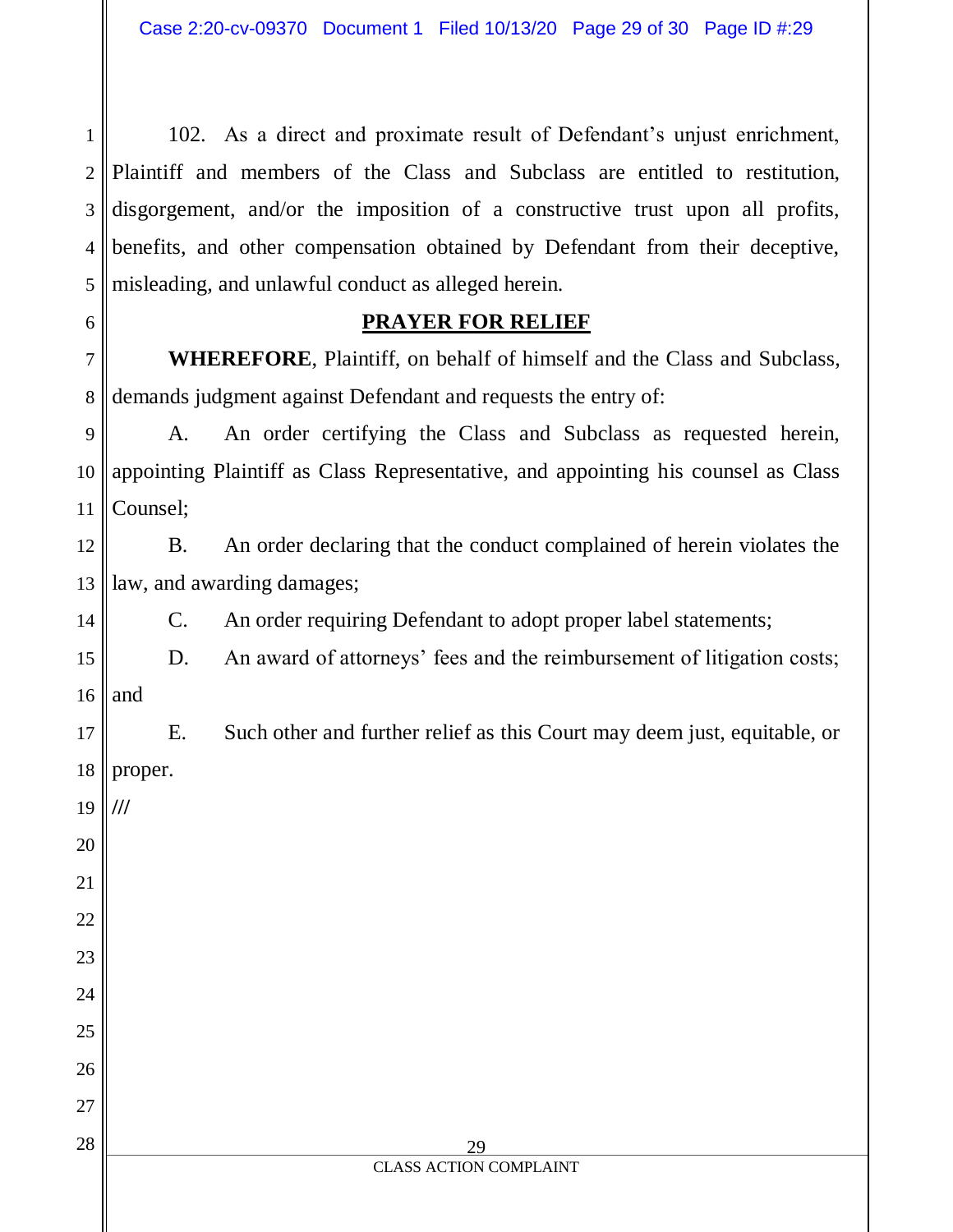1 2 4 5 102. As a direct and proximate result of Defendant's unjust enrichment, Plaintiff and members of the Class and Subclass are entitled to restitution, disgorgement, and/or the imposition of a constructive trust upon all profits, benefits, and other compensation obtained by Defendant from their deceptive, misleading, and unlawful conduct as alleged herein.

#### **PRAYER FOR RELIEF**

7 8 **WHEREFORE**, Plaintiff, on behalf of himself and the Class and Subclass, demands judgment against Defendant and requests the entry of:

9 10 11 A. An order certifying the Class and Subclass as requested herein, appointing Plaintiff as Class Representative, and appointing his counsel as Class Counsel;

12 13 B. An order declaring that the conduct complained of herein violates the law, and awarding damages;

C. An order requiring Defendant to adopt proper label statements;

15 16 D. An award of attorneys' fees and the reimbursement of litigation costs; and

17 18 E. Such other and further relief as this Court may deem just, equitable, or proper.

19 20 **///**

21

22

23

24

25

26

27

28

14

3